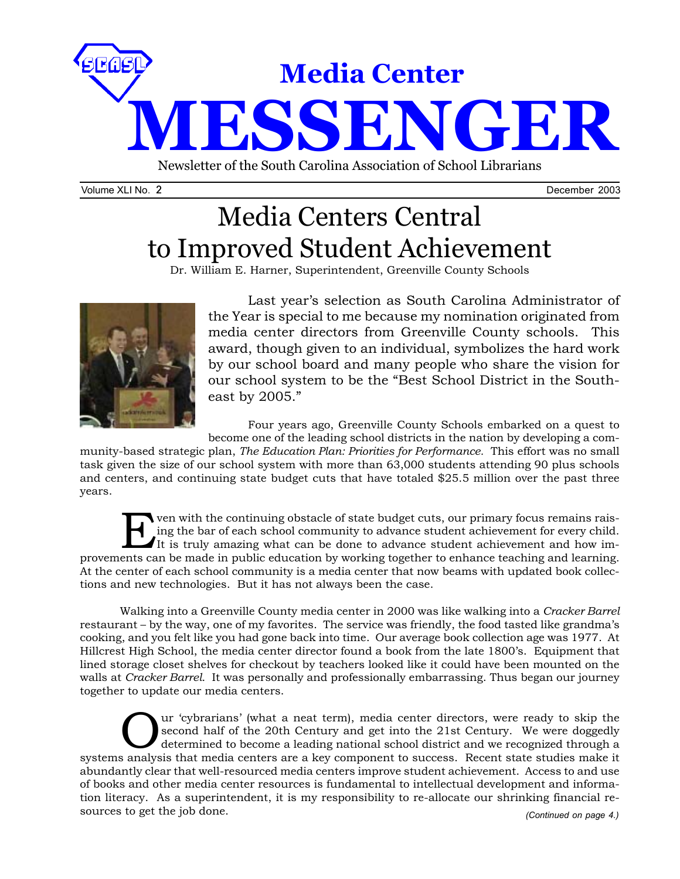

Volume XLI No. 2 December 2003

# Media Centers Central to Improved Student Achievement

Dr. William E. Harner, Superintendent, Greenville County Schools



Last year's selection as South Carolina Administrator of the Year is special to me because my nomination originated from media center directors from Greenville County schools. This award, though given to an individual, symbolizes the hard work by our school board and many people who share the vision for our school system to be the "Best School District in the Southeast by 2005."

Four years ago, Greenville County Schools embarked on a quest to become one of the leading school districts in the nation by developing a com-

munity-based strategic plan, *The Education Plan: Priorities for Performance.* This effort was no small task given the size of our school system with more than 63,000 students attending 90 plus schools and centers, and continuing state budget cuts that have totaled \$25.5 million over the past three years.

For the continuing obstacle of state budget cuts, our primary focus remains rais-<br>ing the bar of each school community to advance student achievement for every child.<br>It is truly amazing what can be done to advance student ing the bar of each school community to advance student achievement for every child. It is truly amazing what can be done to advance student achievement and how improvements can be made in public education by working together to enhance teaching and learning. At the center of each school community is a media center that now beams with updated book collections and new technologies. But it has not always been the case.

Walking into a Greenville County media center in 2000 was like walking into a *Cracker Barrel* restaurant – by the way, one of my favorites. The service was friendly, the food tasted like grandma's cooking, and you felt like you had gone back into time. Our average book collection age was 1977. At Hillcrest High School, the media center director found a book from the late 1800's. Equipment that lined storage closet shelves for checkout by teachers looked like it could have been mounted on the walls at *Cracker Barrel*. It was personally and professionally embarrassing. Thus began our journey together to update our media centers.

Uur 'cybrarians' (what a neat term), media center directors, were ready to skip the<br>second half of the 20th Century and get into the 21st Century. We were doggedly<br>determined to become a leading national school district an second half of the 20th Century and get into the 21st Century. We were doggedly determined to become a leading national school district and we recognized through a systems analysis that media centers are a key component to success. Recent state studies make it abundantly clear that well-resourced media centers improve student achievement. Access to and use of books and other media center resources is fundamental to intellectual development and information literacy. As a superintendent, it is my responsibility to re-allocate our shrinking financial resources to get the job done. *(Continued on page 4.)*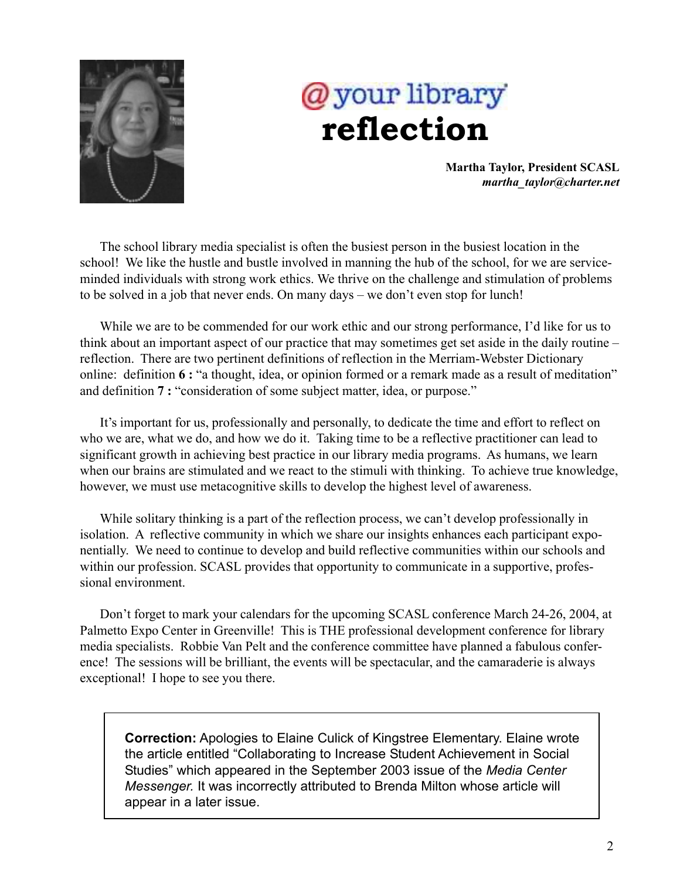

# @your library  **reflection**

**Martha Taylor, President SCASL** *martha\_taylor@charter.net*

The school library media specialist is often the busiest person in the busiest location in the school! We like the hustle and bustle involved in manning the hub of the school, for we are serviceminded individuals with strong work ethics. We thrive on the challenge and stimulation of problems to be solved in a job that never ends. On many days – we don't even stop for lunch!

While we are to be commended for our work ethic and our strong performance, I'd like for us to think about an important aspect of our practice that may sometimes get set aside in the daily routine – reflection. There are two pertinent definitions of reflection in the Merriam-Webster Dictionary online: definition **6 :** "a thought, idea, or opinion formed or a remark made as a result of meditation" and definition **7 :** "consideration of some subject matter, idea, or purpose."

It's important for us, professionally and personally, to dedicate the time and effort to reflect on who we are, what we do, and how we do it. Taking time to be a reflective practitioner can lead to significant growth in achieving best practice in our library media programs. As humans, we learn when our brains are stimulated and we react to the stimuli with thinking. To achieve true knowledge, however, we must use metacognitive skills to develop the highest level of awareness.

While solitary thinking is a part of the reflection process, we can't develop professionally in isolation. A reflective community in which we share our insights enhances each participant exponentially. We need to continue to develop and build reflective communities within our schools and within our profession. SCASL provides that opportunity to communicate in a supportive, professional environment.

Don't forget to mark your calendars for the upcoming SCASL conference March 24-26, 2004, at Palmetto Expo Center in Greenville! This is THE professional development conference for library media specialists. Robbie Van Pelt and the conference committee have planned a fabulous conference! The sessions will be brilliant, the events will be spectacular, and the camaraderie is always exceptional! I hope to see you there.

**Correction:** Apologies to Elaine Culick of Kingstree Elementary. Elaine wrote the article entitled "Collaborating to Increase Student Achievement in Social Studies" which appeared in the September 2003 issue of the *Media Center Messenger.* It was incorrectly attributed to Brenda Milton whose article will appear in a later issue.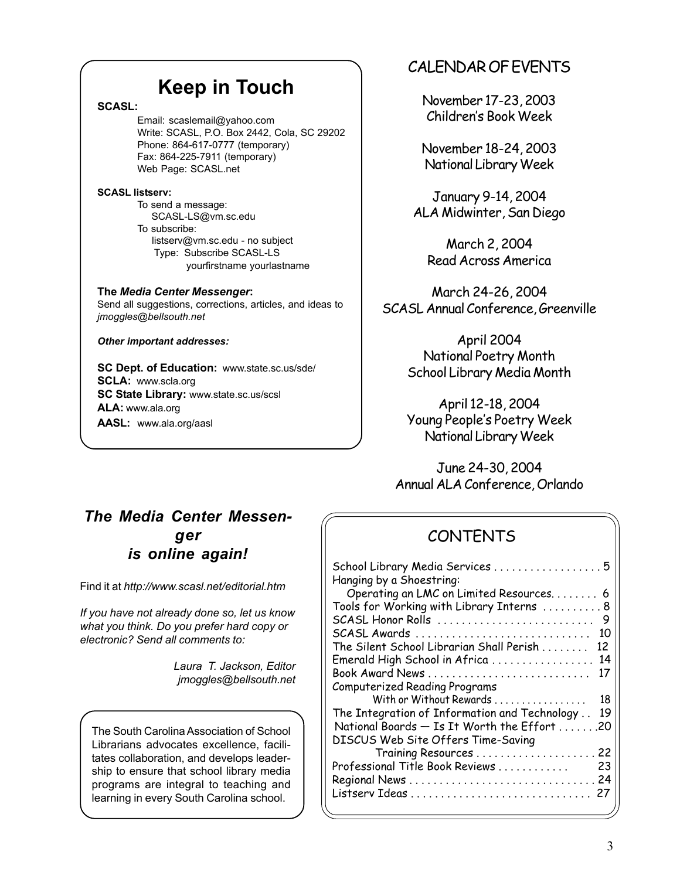# **Keep in Touch**

## **SCASL:**

Email: scaslemail@yahoo.com Write: SCASL, P.O. Box 2442, Cola, SC 29202 Phone: 864-617-0777 (temporary) Fax: 864-225-7911 (temporary) Web Page: SCASL.net

### **SCASL listserv:**

To send a message: SCASL-LS@vm.sc.edu To subscribe: listserv@vm.sc.edu - no subject Type: Subscribe SCASL-LS yourfirstname yourlastname

# **The** *Media Center Messenger***:**

Send all suggestions, corrections, articles, and ideas to *jmoggles@bellsouth.net*

*Other important addresses:*

**SC Dept. of Education:** www.state.sc.us/sde/ **SCLA:** www.scla.org **SC State Library:** www.state.sc.us/scsl **ALA:** www.ala.org **AASL:** www.ala.org/aasl

# CALENDAR OF EVENTS

November 17-23, 2003 Children's Book Week

November 18-24, 2003 National Library Week

January 9-14, 2004 ALA Midwinter, San Diego

March 2, 2004 Read Across America

March 24-26, 2004 SCASL Annual Conference, Greenville

> April 2004 National Poetry Month School Library Media Month

> April 12-18, 2004 Young People's Poetry Week National Library Week

June 24-30, 2004 Annual ALA Conference, Orlando

# *The Media Center Messenger is online again!*

Find it at *http://www.scasl.net/editorial.htm*

*If you have not already done so, let us know what you think. Do you prefer hard copy or electronic? Send all comments to:*

> *Laura T. Jackson, Editor jmoggles@bellsouth.net*

The South Carolina Association of School Librarians advocates excellence, facilitates collaboration, and develops leadership to ensure that school library media programs are integral to teaching and learning in every South Carolina school.

# CONTENTS

| School Library Media Services 5<br>Hanging by a Shoestring: |     |
|-------------------------------------------------------------|-----|
| Operating an LMC on Limited Resources 6                     |     |
| Tools for Working with Library Interns  8                   |     |
| SCASL Honor Rolls                                           | - 9 |
| SCASL Awards                                                | 10  |
| The Silent School Librarian Shall Perish                    | 12  |
| Emerald High School in Africa                               | 14  |
| Book Award News                                             | 17  |
| <b>Computerized Reading Programs</b>                        |     |
| With or Without Rewards                                     | 18  |
| The Integration of Information and Technology               | 19  |
| National Boards - Is It Worth the Effort 20                 |     |
| DISCUS Web Site Offers Time-Saving                          |     |
|                                                             |     |
| Professional Title Book Reviews                             | 23  |
|                                                             |     |
|                                                             | 27  |
|                                                             |     |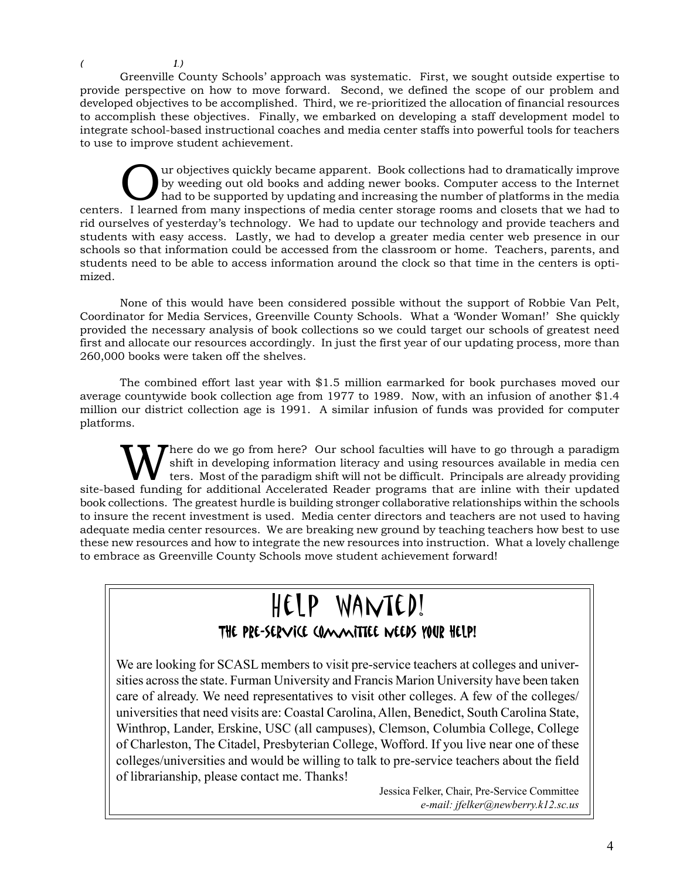$($  1.)

Greenville County Schools' approach was systematic. First, we sought outside expertise to provide perspective on how to move forward. Second, we defined the scope of our problem and developed objectives to be accomplished. Third, we re-prioritized the allocation of financial resources to accomplish these objectives. Finally, we embarked on developing a staff development model to integrate school-based instructional coaches and media center staffs into powerful tools for teachers to use to improve student achievement.

Our objectives quickly became apparent. Book collections had to dramatically improve<br>by weeding out old books and adding newer books. Computer access to the Internet<br>had to be supported by updating and increasing the numbe by weeding out old books and adding newer books. Computer access to the Internet had to be supported by updating and increasing the number of platforms in the media centers. I learned from many inspections of media center storage rooms and closets that we had to rid ourselves of yesterday's technology. We had to update our technology and provide teachers and students with easy access. Lastly, we had to develop a greater media center web presence in our schools so that information could be accessed from the classroom or home. Teachers, parents, and students need to be able to access information around the clock so that time in the centers is optimized.

None of this would have been considered possible without the support of Robbie Van Pelt, Coordinator for Media Services, Greenville County Schools. What a 'Wonder Woman!' She quickly provided the necessary analysis of book collections so we could target our schools of greatest need first and allocate our resources accordingly. In just the first year of our updating process, more than 260,000 books were taken off the shelves.

The combined effort last year with \$1.5 million earmarked for book purchases moved our average countywide book collection age from 1977 to 1989. Now, with an infusion of another \$1.4 million our district collection age is 1991. A similar infusion of funds was provided for computer platforms.

Where do we go from here? Our school faculties will have to go through a paradigm<br>
ters. Most of the paradigm shift will not be difficult. Principals are already providing<br>
and funding for additional Accelerated Beeder pro shift in developing information literacy and using resources available in media cen site-based funding for additional Accelerated Reader programs that are inline with their updated book collections. The greatest hurdle is building stronger collaborative relationships within the schools to insure the recent investment is used. Media center directors and teachers are not used to having adequate media center resources. We are breaking new ground by teaching teachers how best to use these new resources and how to integrate the new resources into instruction. What a lovely challenge to embrace as Greenville County Schools move student achievement forward!

# Help Wanted! THE PRE-SERVICE COMMITTEE WEEDS YOUR HELP!

We are looking for SCASL members to visit pre-service teachers at colleges and universities across the state. Furman University and Francis Marion University have been taken care of already. We need representatives to visit other colleges. A few of the colleges/ universities that need visits are: Coastal Carolina, Allen, Benedict, South Carolina State, Winthrop, Lander, Erskine, USC (all campuses), Clemson, Columbia College, College of Charleston, The Citadel, Presbyterian College, Wofford. If you live near one of these colleges/universities and would be willing to talk to pre-service teachers about the field of librarianship, please contact me. Thanks!

> Jessica Felker, Chair, Pre-Service Committee *e-mail: jfelker@newberry.k12.sc.us*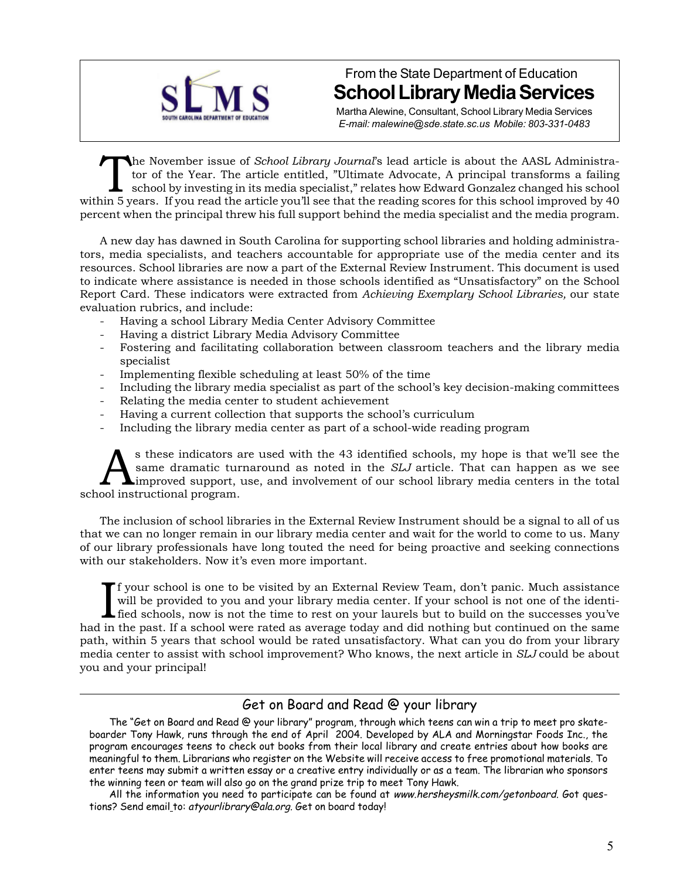

From the State Department of Education **School Library Media Services**

Martha Alewine, Consultant, School Library Media Services *E-mail: malewine@sde.state.sc.us Mobile: 803-331-0483*

The November issue of *School Library Journal*'s lead article is about the AASL Administration of the Year. The article entitled, "Ultimate Advocate, A principal transforms a failing school by investing in its media specia tor of the Year. The article entitled, "Ultimate Advocate, A principal transforms a failing school by investing in its media specialist," relates how Edward Gonzalez changed his school within 5 years. If you read the article you'll see that the reading scores for this school improved by 40 percent when the principal threw his full support behind the media specialist and the media program.

A new day has dawned in South Carolina for supporting school libraries and holding administrators, media specialists, and teachers accountable for appropriate use of the media center and its resources. School libraries are now a part of the External Review Instrument. This document is used to indicate where assistance is needed in those schools identified as "Unsatisfactory" on the School Report Card. These indicators were extracted from *Achieving Exemplary School Libraries,* our state evaluation rubrics, and include:

- Having a school Library Media Center Advisory Committee
- Having a district Library Media Advisory Committee
- Fostering and facilitating collaboration between classroom teachers and the library media specialist
- Implementing flexible scheduling at least 50% of the time
- Including the library media specialist as part of the school's key decision-making committees
- Relating the media center to student achievement
- Having a current collection that supports the school's curriculum
- Including the library media center as part of a school-wide reading program

s these indicators are used with the 43 identified schools, my hope is that we'll see the same dramatic turnaround as noted in the *SLJ* article. That can happen as we see the improved support, use, and involvement of our same dramatic turnaround as noted in the *SLJ* article. That can happen as we see improved support, use, and involvement of our school library media centers in the total school instructional program.

The inclusion of school libraries in the External Review Instrument should be a signal to all of us that we can no longer remain in our library media center and wait for the world to come to us. Many of our library professionals have long touted the need for being proactive and seeking connections with our stakeholders. Now it's even more important.

If your school is one to be visited by an External Review Team, don't panic. Much assistance<br>will be provided to you and your library media center. If your school is not one of the identi-<br>fied schools, now is not the time f your school is one to be visited by an External Review Team, don't panic. Much assistance will be provided to you and your library media center. If your school is not one of the identihad in the past. If a school were rated as average today and did nothing but continued on the same path, within 5 years that school would be rated unsatisfactory. What can you do from your library media center to assist with school improvement? Who knows, the next article in *SLJ* could be about you and your principal!

## Get on Board and Read @ your library

The "Get on Board and Read @ your library" program, through which teens can win a trip to meet pro skateboarder Tony Hawk, runs through the end of April 2004. Developed by ALA and Morningstar Foods Inc., the program encourages teens to check out books from their local library and create entries about how books are meaningful to them. Librarians who register on the Website will receive access to free promotional materials. To enter teens may submit a written essay or a creative entry individually or as a team. The librarian who sponsors the winning teen or team will also go on the grand prize trip to meet Tony Hawk.

All the information you need to participate can be found at www.hersheysmilk.com/getonboard. Got questions? Send email to: atyourlibrary@ala.org. Get on board today!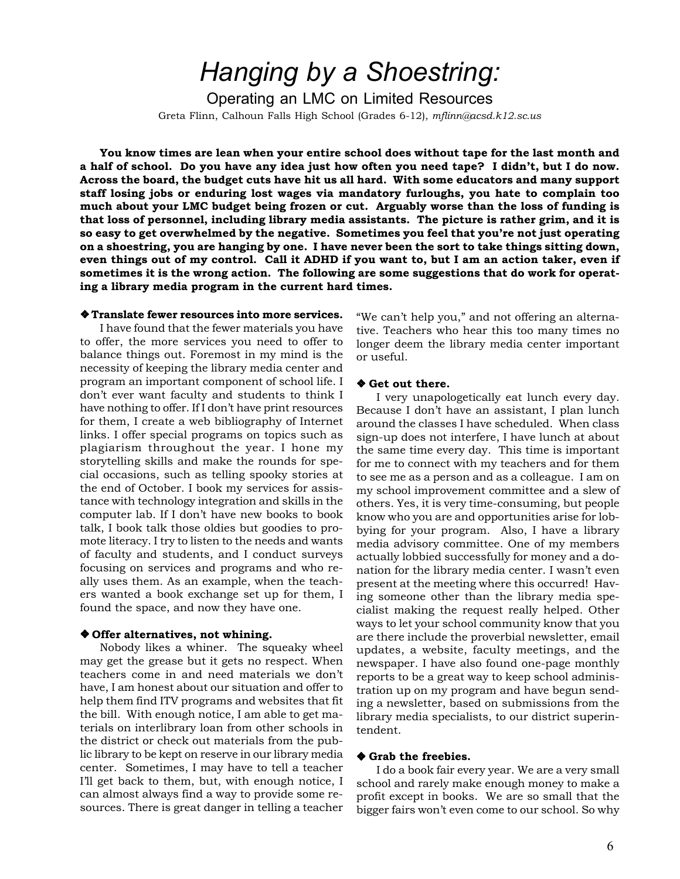# *Hanging by a Shoestring:*

Operating an LMC on Limited Resources Greta Flinn, Calhoun Falls High School (Grades 6-12), *mflinn@acsd.k12.sc.us*

**You know times are lean when your entire school does without tape for the last month and a half of school. Do you have any idea just how often you need tape? I didn't, but I do now. Across the board, the budget cuts have hit us all hard. With some educators and many support staff losing jobs or enduring lost wages via mandatory furloughs, you hate to complain too much about your LMC budget being frozen or cut. Arguably worse than the loss of funding is that loss of personnel, including library media assistants. The picture is rather grim, and it is so easy to get overwhelmed by the negative. Sometimes you feel that you're not just operating on a shoestring, you are hanging by one. I have never been the sort to take things sitting down, even things out of my control. Call it ADHD if you want to, but I am an action taker, even if sometimes it is the wrong action. The following are some suggestions that do work for operating a library media program in the current hard times.**

### ❖ **Translate fewer resources into more services.**

I have found that the fewer materials you have to offer, the more services you need to offer to balance things out. Foremost in my mind is the necessity of keeping the library media center and program an important component of school life. I don't ever want faculty and students to think I have nothing to offer. If I don't have print resources for them, I create a web bibliography of Internet links. I offer special programs on topics such as plagiarism throughout the year. I hone my storytelling skills and make the rounds for special occasions, such as telling spooky stories at the end of October. I book my services for assistance with technology integration and skills in the computer lab. If I don't have new books to book talk, I book talk those oldies but goodies to promote literacy. I try to listen to the needs and wants of faculty and students, and I conduct surveys focusing on services and programs and who really uses them. As an example, when the teachers wanted a book exchange set up for them, I found the space, and now they have one.

#### ❖ **Offer alternatives, not whining.**

Nobody likes a whiner. The squeaky wheel may get the grease but it gets no respect. When teachers come in and need materials we don't have, I am honest about our situation and offer to help them find ITV programs and websites that fit the bill. With enough notice, I am able to get materials on interlibrary loan from other schools in the district or check out materials from the public library to be kept on reserve in our library media center. Sometimes, I may have to tell a teacher I'll get back to them, but, with enough notice, I can almost always find a way to provide some resources. There is great danger in telling a teacher "We can't help you," and not offering an alternative. Teachers who hear this too many times no longer deem the library media center important or useful.

### ❖ **Get out there.**

I very unapologetically eat lunch every day. Because I don't have an assistant, I plan lunch around the classes I have scheduled. When class sign-up does not interfere, I have lunch at about the same time every day. This time is important for me to connect with my teachers and for them to see me as a person and as a colleague. I am on my school improvement committee and a slew of others. Yes, it is very time-consuming, but people know who you are and opportunities arise for lobbying for your program. Also, I have a library media advisory committee. One of my members actually lobbied successfully for money and a donation for the library media center. I wasn't even present at the meeting where this occurred! Having someone other than the library media specialist making the request really helped. Other ways to let your school community know that you are there include the proverbial newsletter, email updates, a website, faculty meetings, and the newspaper. I have also found one-page monthly reports to be a great way to keep school administration up on my program and have begun sending a newsletter, based on submissions from the library media specialists, to our district superintendent.

#### ❖ **Grab the freebies.**

I do a book fair every year. We are a very small school and rarely make enough money to make a profit except in books. We are so small that the bigger fairs won't even come to our school. So why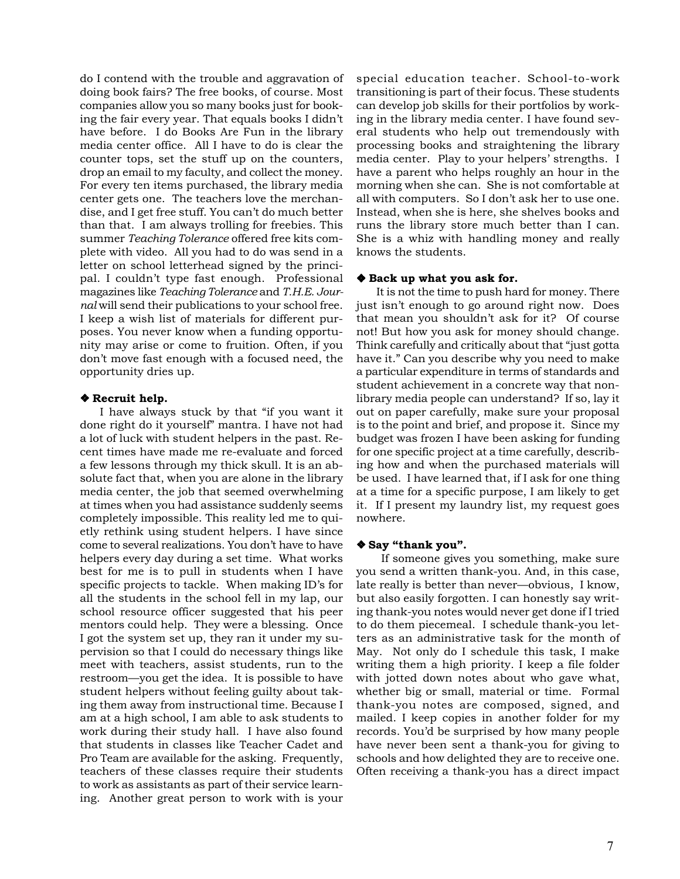do I contend with the trouble and aggravation of doing book fairs? The free books, of course. Most companies allow you so many books just for booking the fair every year. That equals books I didn't have before. I do Books Are Fun in the library media center office. All I have to do is clear the counter tops, set the stuff up on the counters, drop an email to my faculty, and collect the money. For every ten items purchased, the library media center gets one. The teachers love the merchandise, and I get free stuff. You can't do much better than that. I am always trolling for freebies. This summer *Teaching Tolerance* offered free kits complete with video. All you had to do was send in a letter on school letterhead signed by the principal. I couldn't type fast enough. Professional magazines like *Teaching Tolerance* and *T.H.E. Journal* will send their publications to your school free. I keep a wish list of materials for different purposes. You never know when a funding opportunity may arise or come to fruition. Often, if you don't move fast enough with a focused need, the opportunity dries up.

#### ❖ **Recruit help.**

I have always stuck by that "if you want it done right do it yourself" mantra. I have not had a lot of luck with student helpers in the past. Recent times have made me re-evaluate and forced a few lessons through my thick skull. It is an absolute fact that, when you are alone in the library media center, the job that seemed overwhelming at times when you had assistance suddenly seems completely impossible. This reality led me to quietly rethink using student helpers. I have since come to several realizations. You don't have to have helpers every day during a set time. What works best for me is to pull in students when I have specific projects to tackle. When making ID's for all the students in the school fell in my lap, our school resource officer suggested that his peer mentors could help. They were a blessing. Once I got the system set up, they ran it under my supervision so that I could do necessary things like meet with teachers, assist students, run to the restroom—you get the idea. It is possible to have student helpers without feeling guilty about taking them away from instructional time. Because I am at a high school, I am able to ask students to work during their study hall. I have also found that students in classes like Teacher Cadet and Pro Team are available for the asking. Frequently, teachers of these classes require their students to work as assistants as part of their service learning. Another great person to work with is your

special education teacher. School-to-work transitioning is part of their focus. These students can develop job skills for their portfolios by working in the library media center. I have found several students who help out tremendously with processing books and straightening the library media center. Play to your helpers' strengths. I have a parent who helps roughly an hour in the morning when she can. She is not comfortable at all with computers. So I don't ask her to use one. Instead, when she is here, she shelves books and runs the library store much better than I can. She is a whiz with handling money and really knows the students.

### ❖ **Back up what you ask for.**

It is not the time to push hard for money. There just isn't enough to go around right now. Does that mean you shouldn't ask for it? Of course not! But how you ask for money should change. Think carefully and critically about that "just gotta have it." Can you describe why you need to make a particular expenditure in terms of standards and student achievement in a concrete way that nonlibrary media people can understand? If so, lay it out on paper carefully, make sure your proposal is to the point and brief, and propose it. Since my budget was frozen I have been asking for funding for one specific project at a time carefully, describing how and when the purchased materials will be used. I have learned that, if I ask for one thing at a time for a specific purpose, I am likely to get it. If I present my laundry list, my request goes nowhere.

### ❖ **Say "thank you".**

If someone gives you something, make sure you send a written thank-you. And, in this case, late really is better than never—obvious, I know, but also easily forgotten. I can honestly say writing thank-you notes would never get done if I tried to do them piecemeal. I schedule thank-you letters as an administrative task for the month of May. Not only do I schedule this task, I make writing them a high priority. I keep a file folder with jotted down notes about who gave what, whether big or small, material or time. Formal thank-you notes are composed, signed, and mailed. I keep copies in another folder for my records. You'd be surprised by how many people have never been sent a thank-you for giving to schools and how delighted they are to receive one. Often receiving a thank-you has a direct impact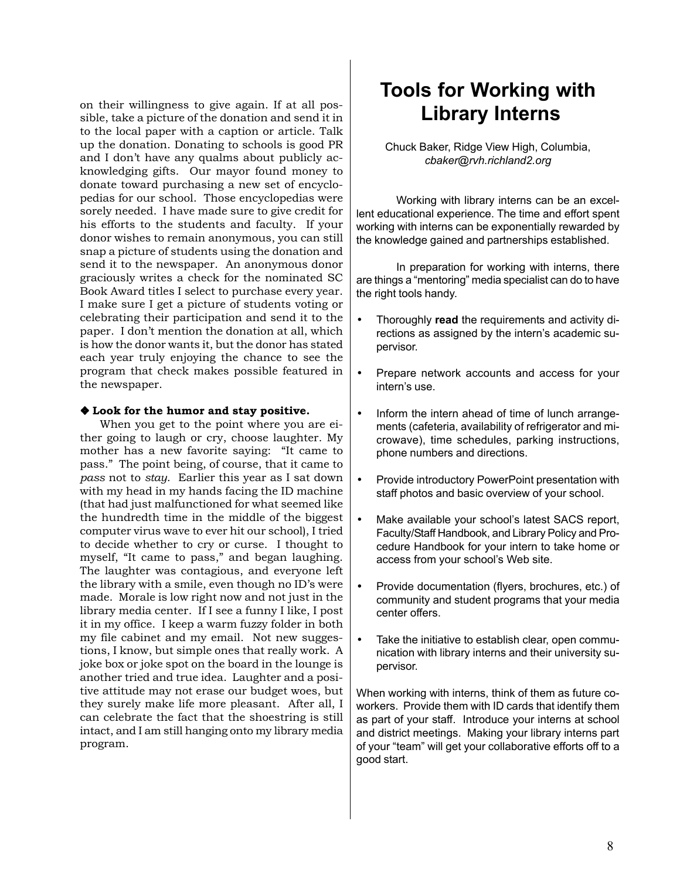on their willingness to give again. If at all possible, take a picture of the donation and send it in to the local paper with a caption or article. Talk up the donation. Donating to schools is good PR and I don't have any qualms about publicly acknowledging gifts. Our mayor found money to donate toward purchasing a new set of encyclopedias for our school. Those encyclopedias were sorely needed. I have made sure to give credit for his efforts to the students and faculty. If your donor wishes to remain anonymous, you can still snap a picture of students using the donation and send it to the newspaper. An anonymous donor graciously writes a check for the nominated SC Book Award titles I select to purchase every year. I make sure I get a picture of students voting or celebrating their participation and send it to the paper. I don't mention the donation at all, which is how the donor wants it, but the donor has stated each year truly enjoying the chance to see the program that check makes possible featured in the newspaper.

## ❖ **Look for the humor and stay positive.**

When you get to the point where you are either going to laugh or cry, choose laughter. My mother has a new favorite saying: "It came to pass." The point being, of course, that it came to *pass* not to *stay*. Earlier this year as I sat down with my head in my hands facing the ID machine (that had just malfunctioned for what seemed like the hundredth time in the middle of the biggest computer virus wave to ever hit our school), I tried to decide whether to cry or curse. I thought to myself, "It came to pass," and began laughing. The laughter was contagious, and everyone left the library with a smile, even though no ID's were made. Morale is low right now and not just in the library media center. If I see a funny I like, I post it in my office. I keep a warm fuzzy folder in both my file cabinet and my email. Not new suggestions, I know, but simple ones that really work. A joke box or joke spot on the board in the lounge is another tried and true idea. Laughter and a positive attitude may not erase our budget woes, but they surely make life more pleasant. After all, I can celebrate the fact that the shoestring is still intact, and I am still hanging onto my library media program.

# **Tools for Working with Library Interns**

Chuck Baker, Ridge View High, Columbia, *cbaker@rvh.richland2.org*

Working with library interns can be an excellent educational experience. The time and effort spent working with interns can be exponentially rewarded by the knowledge gained and partnerships established.

In preparation for working with interns, there are things a "mentoring" media specialist can do to have the right tools handy.

- Thoroughly **read** the requirements and activity directions as assigned by the intern's academic supervisor.
- Prepare network accounts and access for your intern's use.
- Inform the intern ahead of time of lunch arrangements (cafeteria, availability of refrigerator and microwave), time schedules, parking instructions, phone numbers and directions.
- Provide introductory PowerPoint presentation with staff photos and basic overview of your school.
- Make available your school's latest SACS report, Faculty/Staff Handbook, and Library Policy and Procedure Handbook for your intern to take home or access from your school's Web site.
- Provide documentation (flyers, brochures, etc.) of community and student programs that your media center offers.
- Take the initiative to establish clear, open communication with library interns and their university supervisor.

When working with interns, think of them as future coworkers. Provide them with ID cards that identify them as part of your staff. Introduce your interns at school and district meetings. Making your library interns part of your "team" will get your collaborative efforts off to a good start.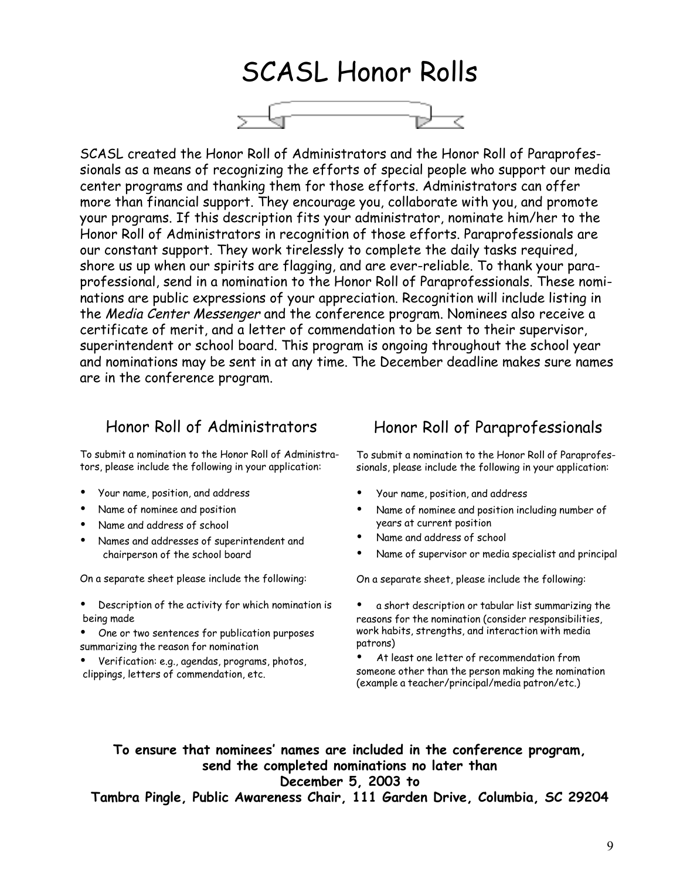# SCASL Honor Rolls



SCASL created the Honor Roll of Administrators and the Honor Roll of Paraprofessionals as a means of recognizing the efforts of special people who support our media center programs and thanking them for those efforts. Administrators can offer more than financial support. They encourage you, collaborate with you, and promote your programs. If this description fits your administrator, nominate him/her to the Honor Roll of Administrators in recognition of those efforts. Paraprofessionals are our constant support. They work tirelessly to complete the daily tasks required, shore us up when our spirits are flagging, and are ever-reliable. To thank your paraprofessional, send in a nomination to the Honor Roll of Paraprofessionals. These nominations are public expressions of your appreciation. Recognition will include listing in the Media Center Messenger and the conference program. Nominees also receive a certificate of merit, and a letter of commendation to be sent to their supervisor, superintendent or school board. This program is ongoing throughout the school year and nominations may be sent in at any time. The December deadline makes sure names are in the conference program.

## Honor Roll of Administrators

To submit a nomination to the Honor Roll of Administrators, please include the following in your application:

- Your name, position, and address
- Name of nominee and position
- Name and address of school
- Names and addresses of superintendent and chairperson of the school board

On a separate sheet please include the following:

- Description of the activity for which nomination is being made
- One or two sentences for publication purposes summarizing the reason for nomination
- Verification: e.g., agendas, programs, photos, clippings, letters of commendation, etc.

# Honor Roll of Paraprofessionals

To submit a nomination to the Honor Roll of Paraprofessionals, please include the following in your application:

- Your name, position, and address
- Name of nominee and position including number of years at current position
- Name and address of school
- Name of supervisor or media specialist and principal

On a separate sheet, please include the following:

- a short description or tabular list summarizing the reasons for the nomination (consider responsibilities, work habits, strengths, and interaction with media patrons)
- At least one letter of recommendation from someone other than the person making the nomination (example a teacher/principal/media patron/etc.)

**To ensure that nominees' names are included in the conference program, send the completed nominations no later than December 5, 2003 to**

**Tambra Pingle, Public Awareness Chair, 111 Garden Drive, Columbia, SC 29204**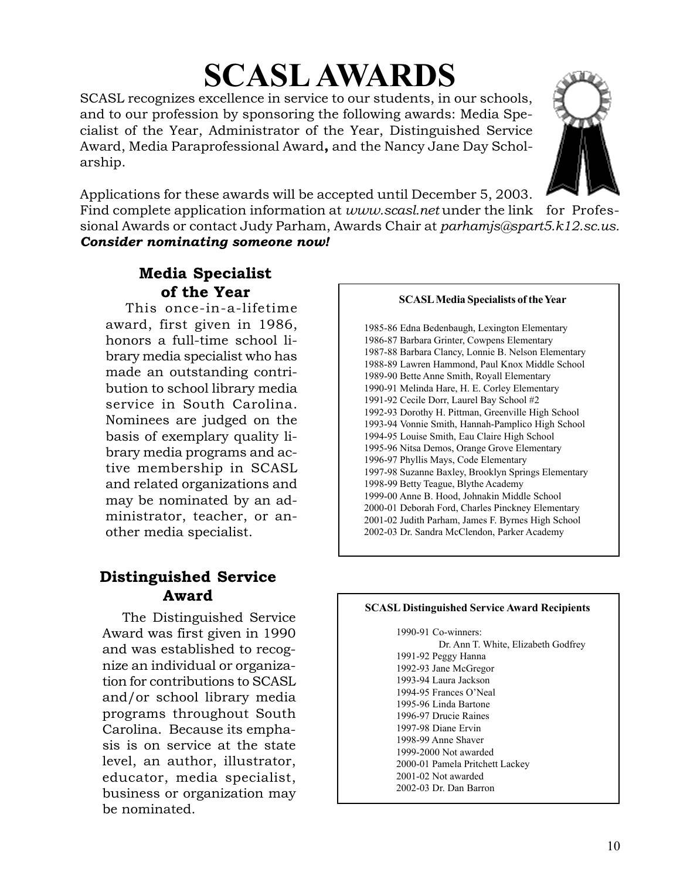# **SCASL AWARDS**

SCASL recognizes excellence in service to our students, in our schools, and to our profession by sponsoring the following awards: Media Specialist of the Year, Administrator of the Year, Distinguished Service Award, Media Paraprofessional Award**,** and the Nancy Jane Day Scholarship.

Applications for these awards will be accepted until December 5, 2003.

Find complete application information at *www.scasl.net* under the link for Professional Awards or contact Judy Parham, Awards Chair at *parhamjs@spart5.k12.sc.us. Consider nominating someone now!*

# **Media Specialist**

This once-in-a-lifetime award, first given in 1986, honors a full-time school library media specialist who has made an outstanding contribution to school library media service in South Carolina. Nominees are judged on the basis of exemplary quality library media programs and active membership in SCASL and related organizations and may be nominated by an administrator, teacher, or another media specialist.

# **Distinguished Service Award**

The Distinguished Service Award was first given in 1990 and was established to recognize an individual or organization for contributions to SCASL and/or school library media programs throughout South Carolina. Because its emphasis is on service at the state level, an author, illustrator, educator, media specialist, business or organization may be nominated.

# **of the Year SCASL Media Specialists of the Year**

1985-86 Edna Bedenbaugh, Lexington Elementary 1986-87 Barbara Grinter, Cowpens Elementary 1987-88 Barbara Clancy, Lonnie B. Nelson Elementary 1988-89 Lawren Hammond, Paul Knox Middle School 1989-90 Bette Anne Smith, Royall Elementary 1990-91 Melinda Hare, H. E. Corley Elementary 1991-92 Cecile Dorr, Laurel Bay School #2 1992-93 Dorothy H. Pittman, Greenville High School 1993-94 Vonnie Smith, Hannah-Pamplico High School 1994-95 Louise Smith, Eau Claire High School 1995-96 Nitsa Demos, Orange Grove Elementary 1996-97 Phyllis Mays, Code Elementary 1997-98 Suzanne Baxley, Brooklyn Springs Elementary 1998-99 Betty Teague, Blythe Academy 1999-00 Anne B. Hood, Johnakin Middle School 2000-01 Deborah Ford, Charles Pinckney Elementary 2001-02 Judith Parham, James F. Byrnes High School 2002-03 Dr. Sandra McClendon, Parker Academy

## **SCASL Distinguished Service Award Recipients**

1990-91 Co-winners: Dr. Ann T. White, Elizabeth Godfrey 1991-92 Peggy Hanna 1992-93 Jane McGregor 1993-94 Laura Jackson 1994-95 Frances O'Neal 1995-96 Linda Bartone 1996-97 Drucie Raines 1997-98 Diane Ervin 1998-99 Anne Shaver 1999-2000 Not awarded 2000-01 Pamela Pritchett Lackey 2001-02 Not awarded 2002-03 Dr. Dan Barron

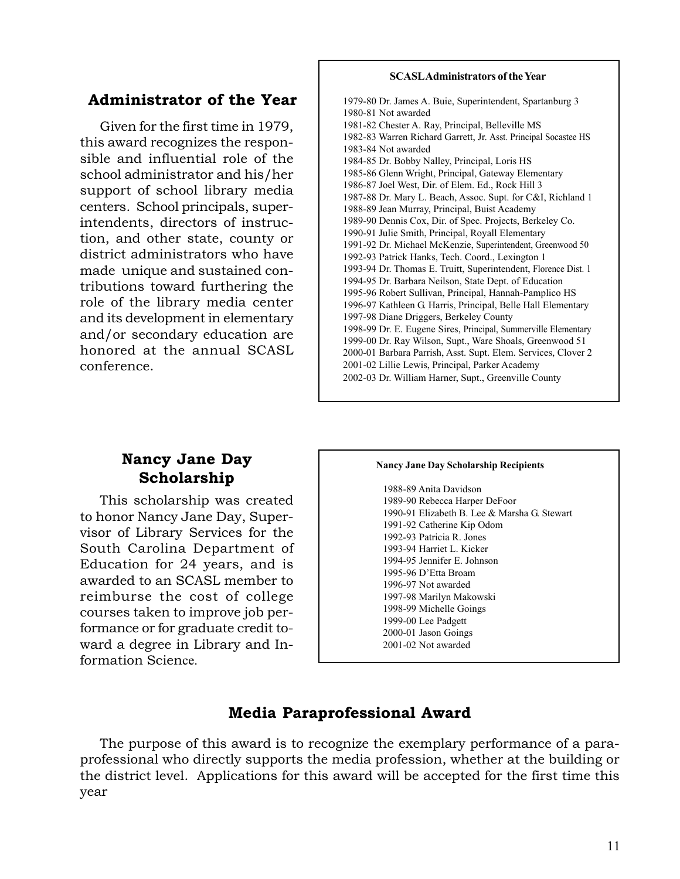## **Administrator of the Year**

Given for the first time in 1979, this award recognizes the responsible and influential role of the school administrator and his/her support of school library media centers. School principals, superintendents, directors of instruction, and other state, county or district administrators who have made unique and sustained contributions toward furthering the role of the library media center and its development in elementary and/or secondary education are honored at the annual SCASL conference.

### **SCASL Administrators of the Year**

1979-80 Dr. James A. Buie, Superintendent, Spartanburg 3 1980-81 Not awarded 1981-82 Chester A. Ray, Principal, Belleville MS 1982-83 Warren Richard Garrett, Jr. Asst. Principal Socastee HS 1983-84 Not awarded 1984-85 Dr. Bobby Nalley, Principal, Loris HS 1985-86 Glenn Wright, Principal, Gateway Elementary 1986-87 Joel West, Dir. of Elem. Ed., Rock Hill 3 1987-88 Dr. Mary L. Beach, Assoc. Supt. for C&I, Richland 1 1988-89 Jean Murray, Principal, Buist Academy 1989-90 Dennis Cox, Dir. of Spec. Projects, Berkeley Co. 1990-91 Julie Smith, Principal, Royall Elementary 1991-92 Dr. Michael McKenzie, Superintendent, Greenwood 50 1992-93 Patrick Hanks, Tech. Coord., Lexington 1 1993-94 Dr. Thomas E. Truitt, Superintendent, Florence Dist. 1 1994-95 Dr. Barbara Neilson, State Dept. of Education 1995-96 Robert Sullivan, Principal, Hannah-Pamplico HS 1996-97 Kathleen G. Harris, Principal, Belle Hall Elementary 1997-98 Diane Driggers, Berkeley County 1998-99 Dr. E. Eugene Sires, Principal, Summerville Elementary 1999-00 Dr. Ray Wilson, Supt., Ware Shoals, Greenwood 51 2000-01 Barbara Parrish, Asst. Supt. Elem. Services, Clover 2 2001-02 Lillie Lewis, Principal, Parker Academy 2002-03 Dr. William Harner, Supt., Greenville County

## **Nancy Jane Day Scholarship**

This scholarship was created to honor Nancy Jane Day, Supervisor of Library Services for the South Carolina Department of Education for 24 years, and is awarded to an SCASL member to reimburse the cost of college courses taken to improve job performance or for graduate credit toward a degree in Library and Information Science.

#### **Nancy Jane Day Scholarship Recipients**

1988-89 Anita Davidson 1989-90 Rebecca Harper DeFoor 1990-91 Elizabeth B. Lee & Marsha G. Stewart 1991-92 Catherine Kip Odom 1992-93 Patricia R. Jones 1993-94 Harriet L. Kicker 1994-95 Jennifer E. Johnson 1995-96 D'Etta Broam 1996-97 Not awarded 1997-98 Marilyn Makowski 1998-99 Michelle Goings 1999-00 Lee Padgett 2000-01 Jason Goings 2001-02 Not awarded

## **Media Paraprofessional Award**

The purpose of this award is to recognize the exemplary performance of a paraprofessional who directly supports the media profession, whether at the building or the district level. Applications for this award will be accepted for the first time this year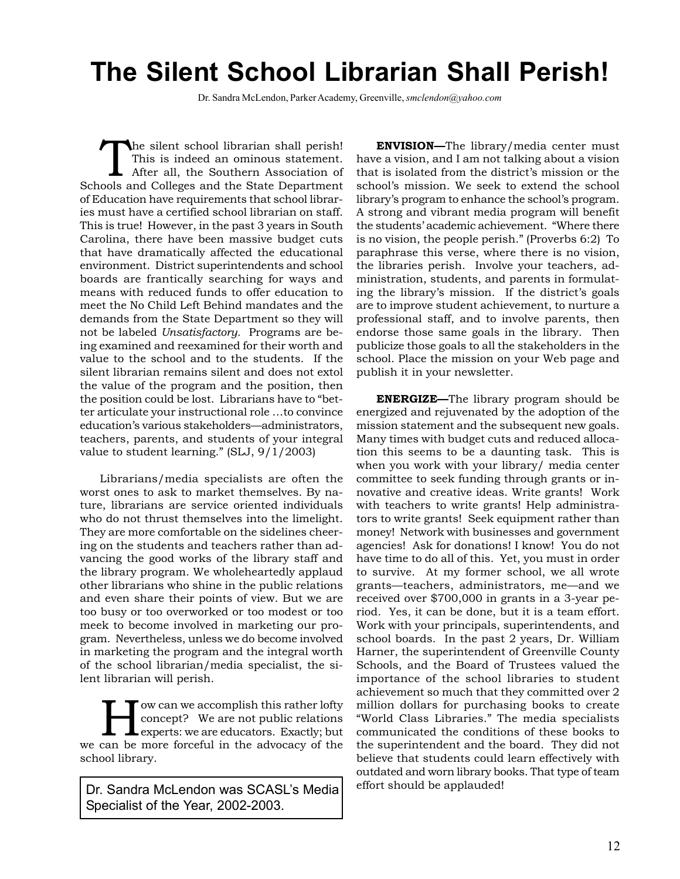# **The Silent School Librarian Shall Perish!**

Dr. Sandra McLendon, Parker Academy, Greenville, *smclendon@yahoo.com*

The silent school librarian shall perish!<br>This is indeed an ominous statement.<br>After all, the Southern Association of This is indeed an ominous statement. After all, the Southern Association of Schools and Colleges and the State Department of Education have requirements that school libraries must have a certified school librarian on staff. This is true! However, in the past 3 years in South Carolina, there have been massive budget cuts that have dramatically affected the educational environment. District superintendents and school boards are frantically searching for ways and means with reduced funds to offer education to meet the No Child Left Behind mandates and the demands from the State Department so they will not be labeled *Unsatisfactory.* Programs are being examined and reexamined for their worth and value to the school and to the students. If the silent librarian remains silent and does not extol the value of the program and the position, then the position could be lost. Librarians have to "better articulate your instructional role …to convince education's various stakeholders—administrators, teachers, parents, and students of your integral value to student learning." (SLJ, 9/1/2003)

Librarians/media specialists are often the worst ones to ask to market themselves. By nature, librarians are service oriented individuals who do not thrust themselves into the limelight. They are more comfortable on the sidelines cheering on the students and teachers rather than advancing the good works of the library staff and the library program. We wholeheartedly applaud other librarians who shine in the public relations and even share their points of view. But we are too busy or too overworked or too modest or too meek to become involved in marketing our program. Nevertheless, unless we do become involved in marketing the program and the integral worth of the school librarian/media specialist, the silent librarian will perish.

ow can we accomplish this rather lofty concept? We are not public relations **L** experts: we are educators. Exactly; but we can be more forceful in the advocacy of the school library.

Dr. Sandra McLendon was SCASL's Media <sup>effort should be applauded!</sup> Specialist of the Year, 2002-2003.

**ENVISION—**The library/media center must have a vision, and I am not talking about a vision that is isolated from the district's mission or the school's mission. We seek to extend the school library's program to enhance the school's program. A strong and vibrant media program will benefit the students' academic achievement. "Where there is no vision, the people perish." (Proverbs 6:2) To paraphrase this verse, where there is no vision, the libraries perish. Involve your teachers, administration, students, and parents in formulating the library's mission. If the district's goals are to improve student achievement, to nurture a professional staff, and to involve parents, then endorse those same goals in the library. Then publicize those goals to all the stakeholders in the school. Place the mission on your Web page and publish it in your newsletter.

**ENERGIZE—**The library program should be energized and rejuvenated by the adoption of the mission statement and the subsequent new goals. Many times with budget cuts and reduced allocation this seems to be a daunting task. This is when you work with your library/ media center committee to seek funding through grants or innovative and creative ideas. Write grants! Work with teachers to write grants! Help administrators to write grants! Seek equipment rather than money! Network with businesses and government agencies! Ask for donations! I know! You do not have time to do all of this. Yet, you must in order to survive. At my former school, we all wrote grants—teachers, administrators, me—and we received over \$700,000 in grants in a 3-year period. Yes, it can be done, but it is a team effort. Work with your principals, superintendents, and school boards. In the past 2 years, Dr. William Harner, the superintendent of Greenville County Schools, and the Board of Trustees valued the importance of the school libraries to student achievement so much that they committed over 2 million dollars for purchasing books to create "World Class Libraries." The media specialists communicated the conditions of these books to the superintendent and the board. They did not believe that students could learn effectively with outdated and worn library books. That type of team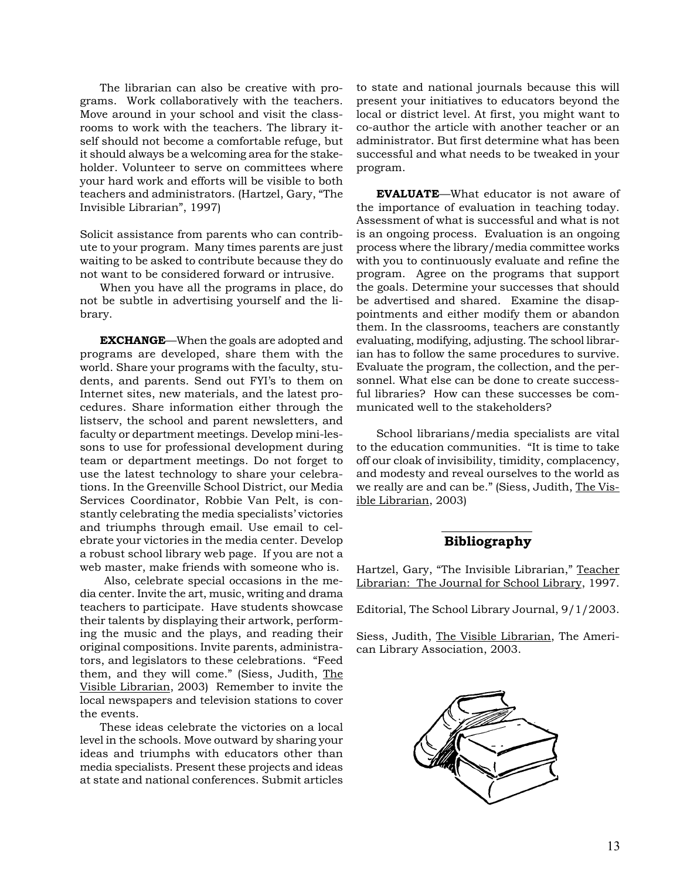The librarian can also be creative with programs. Work collaboratively with the teachers. Move around in your school and visit the classrooms to work with the teachers. The library itself should not become a comfortable refuge, but it should always be a welcoming area for the stakeholder. Volunteer to serve on committees where your hard work and efforts will be visible to both teachers and administrators. (Hartzel, Gary, "The Invisible Librarian", 1997)

Solicit assistance from parents who can contribute to your program. Many times parents are just waiting to be asked to contribute because they do not want to be considered forward or intrusive.

When you have all the programs in place, do not be subtle in advertising yourself and the library.

**EXCHANGE**—When the goals are adopted and programs are developed, share them with the world. Share your programs with the faculty, students, and parents. Send out FYI's to them on Internet sites, new materials, and the latest procedures. Share information either through the listserv, the school and parent newsletters, and faculty or department meetings. Develop mini-lessons to use for professional development during team or department meetings. Do not forget to use the latest technology to share your celebrations. In the Greenville School District, our Media Services Coordinator, Robbie Van Pelt, is constantly celebrating the media specialists' victories and triumphs through email. Use email to celebrate your victories in the media center. Develop a robust school library web page. If you are not a web master, make friends with someone who is.

 Also, celebrate special occasions in the media center. Invite the art, music, writing and drama teachers to participate. Have students showcase their talents by displaying their artwork, performing the music and the plays, and reading their original compositions. Invite parents, administrators, and legislators to these celebrations. "Feed them, and they will come." (Siess, Judith, The Visible Librarian, 2003) Remember to invite the local newspapers and television stations to cover the events.

These ideas celebrate the victories on a local level in the schools. Move outward by sharing your ideas and triumphs with educators other than media specialists. Present these projects and ideas at state and national conferences. Submit articles

to state and national journals because this will present your initiatives to educators beyond the local or district level. At first, you might want to co-author the article with another teacher or an administrator. But first determine what has been successful and what needs to be tweaked in your program.

**EVALUATE**—What educator is not aware of the importance of evaluation in teaching today. Assessment of what is successful and what is not is an ongoing process. Evaluation is an ongoing process where the library/media committee works with you to continuously evaluate and refine the program. Agree on the programs that support the goals. Determine your successes that should be advertised and shared. Examine the disappointments and either modify them or abandon them. In the classrooms, teachers are constantly evaluating, modifying, adjusting. The school librarian has to follow the same procedures to survive. Evaluate the program, the collection, and the personnel. What else can be done to create successful libraries? How can these successes be communicated well to the stakeholders?

School librarians/media specialists are vital to the education communities. "It is time to take off our cloak of invisibility, timidity, complacency, and modesty and reveal ourselves to the world as we really are and can be." (Siess, Judith, The Visible Librarian, 2003)

### **Bibliography**

Hartzel, Gary, "The Invisible Librarian," Teacher Librarian: The Journal for School Library, 1997.

Editorial, The School Library Journal, 9/1/2003.

Siess, Judith, The Visible Librarian, The American Library Association, 2003.

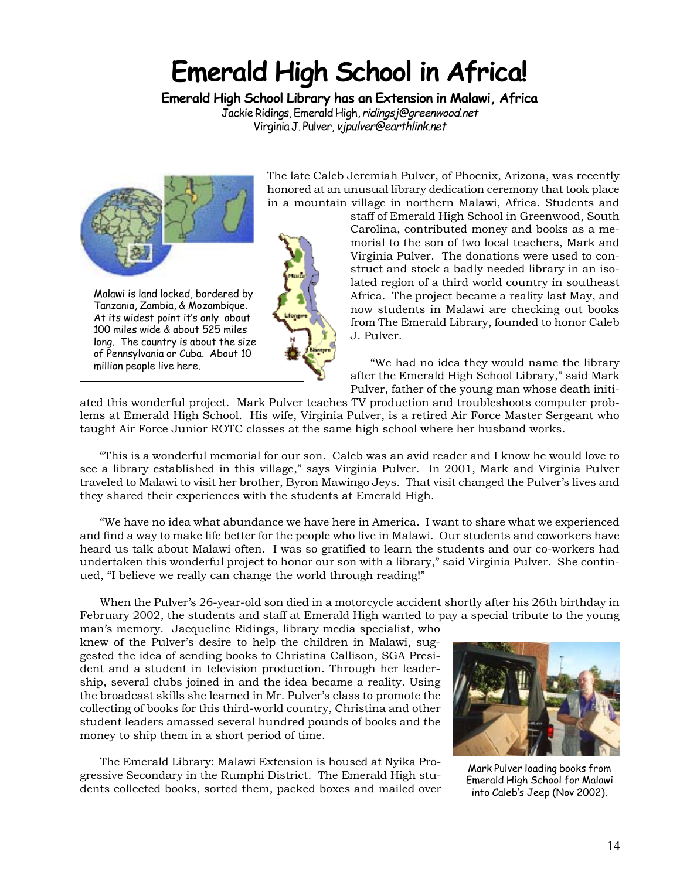# **Emerald High School in Africa!**

**Emerald High School Library has an Extension in Malawi, Africa**

Jackie Ridings, Emerald High, ridingsj@greenwood.net Virginia J. Pulver, vjpulver@earthlink.net



Malawi is land locked, bordered by Tanzania, Zambia, & Mozambique. At its widest point it's only about 100 miles wide & about 525 miles long. The country is about the size of Pennsylvania or Cuba. About 10 million people live here.

The late Caleb Jeremiah Pulver, of Phoenix, Arizona, was recently honored at an unusual library dedication ceremony that took place in a mountain village in northern Malawi, Africa. Students and

staff of Emerald High School in Greenwood, South Carolina, contributed money and books as a memorial to the son of two local teachers, Mark and Virginia Pulver. The donations were used to construct and stock a badly needed library in an isolated region of a third world country in southeast Africa. The project became a reality last May, and now students in Malawi are checking out books from The Emerald Library, founded to honor Caleb J. Pulver.

"We had no idea they would name the library after the Emerald High School Library," said Mark Pulver, father of the young man whose death initi-

ated this wonderful project. Mark Pulver teaches TV production and troubleshoots computer problems at Emerald High School. His wife, Virginia Pulver, is a retired Air Force Master Sergeant who taught Air Force Junior ROTC classes at the same high school where her husband works.

"This is a wonderful memorial for our son. Caleb was an avid reader and I know he would love to see a library established in this village," says Virginia Pulver. In 2001, Mark and Virginia Pulver traveled to Malawi to visit her brother, Byron Mawingo Jeys. That visit changed the Pulver's lives and they shared their experiences with the students at Emerald High.

"We have no idea what abundance we have here in America. I want to share what we experienced and find a way to make life better for the people who live in Malawi. Our students and coworkers have heard us talk about Malawi often. I was so gratified to learn the students and our co-workers had undertaken this wonderful project to honor our son with a library," said Virginia Pulver. She continued, "I believe we really can change the world through reading!"

When the Pulver's 26-year-old son died in a motorcycle accident shortly after his 26th birthday in February 2002, the students and staff at Emerald High wanted to pay a special tribute to the young

man's memory. Jacqueline Ridings, library media specialist, who knew of the Pulver's desire to help the children in Malawi, suggested the idea of sending books to Christina Callison, SGA President and a student in television production. Through her leadership, several clubs joined in and the idea became a reality. Using the broadcast skills she learned in Mr. Pulver's class to promote the collecting of books for this third-world country, Christina and other student leaders amassed several hundred pounds of books and the money to ship them in a short period of time.

The Emerald Library: Malawi Extension is housed at Nyika Progressive Secondary in the Rumphi District. The Emerald High students collected books, sorted them, packed boxes and mailed over



Mark Pulver loading books from Emerald High School for Malawi into Caleb's Jeep (Nov 2002).

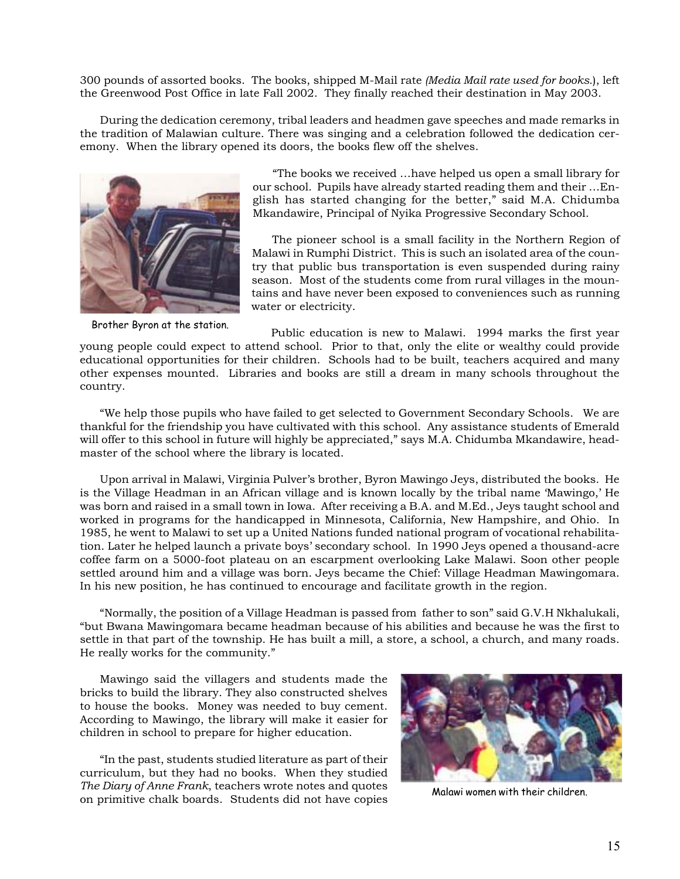300 pounds of assorted books. The books, shipped M-Mail rate *(Media Mail rate used for books.*), left the Greenwood Post Office in late Fall 2002. They finally reached their destination in May 2003.

During the dedication ceremony, tribal leaders and headmen gave speeches and made remarks in the tradition of Malawian culture. There was singing and a celebration followed the dedication ceremony. When the library opened its doors, the books flew off the shelves.



Brother Byron at the station.

"The books we received …have helped us open a small library for our school. Pupils have already started reading them and their …English has started changing for the better," said M.A. Chidumba Mkandawire, Principal of Nyika Progressive Secondary School.

The pioneer school is a small facility in the Northern Region of Malawi in Rumphi District. This is such an isolated area of the country that public bus transportation is even suspended during rainy season. Most of the students come from rural villages in the mountains and have never been exposed to conveniences such as running water or electricity.

Public education is new to Malawi. 1994 marks the first year young people could expect to attend school. Prior to that, only the elite or wealthy could provide educational opportunities for their children. Schools had to be built, teachers acquired and many other expenses mounted. Libraries and books are still a dream in many schools throughout the country.

"We help those pupils who have failed to get selected to Government Secondary Schools. We are thankful for the friendship you have cultivated with this school. Any assistance students of Emerald will offer to this school in future will highly be appreciated," says M.A. Chidumba Mkandawire, headmaster of the school where the library is located.

Upon arrival in Malawi, Virginia Pulver's brother, Byron Mawingo Jeys, distributed the books. He is the Village Headman in an African village and is known locally by the tribal name 'Mawingo,' He was born and raised in a small town in Iowa. After receiving a B.A. and M.Ed., Jeys taught school and worked in programs for the handicapped in Minnesota, California, New Hampshire, and Ohio. In 1985, he went to Malawi to set up a United Nations funded national program of vocational rehabilitation. Later he helped launch a private boys' secondary school. In 1990 Jeys opened a thousand-acre coffee farm on a 5000-foot plateau on an escarpment overlooking Lake Malawi. Soon other people settled around him and a village was born. Jeys became the Chief: Village Headman Mawingomara. In his new position, he has continued to encourage and facilitate growth in the region.

"Normally, the position of a Village Headman is passed from father to son" said G.V.H Nkhalukali, "but Bwana Mawingomara became headman because of his abilities and because he was the first to settle in that part of the township. He has built a mill, a store, a school, a church, and many roads. He really works for the community."

Mawingo said the villagers and students made the bricks to build the library. They also constructed shelves to house the books. Money was needed to buy cement. According to Mawingo, the library will make it easier for children in school to prepare for higher education.

"In the past, students studied literature as part of their curriculum, but they had no books. When they studied *The Diary of Anne Frank*, teachers wrote notes and quotes on primitive chalk boards. Students did not have copies



Malawi women with their children.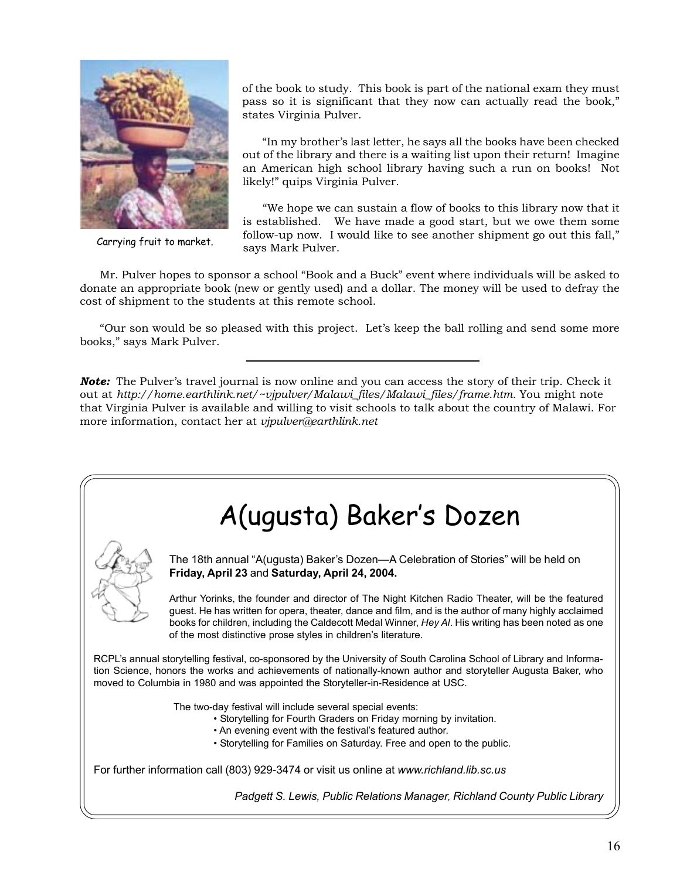

Carrying fruit to market.

of the book to study. This book is part of the national exam they must pass so it is significant that they now can actually read the book," states Virginia Pulver.

"In my brother's last letter, he says all the books have been checked out of the library and there is a waiting list upon their return! Imagine an American high school library having such a run on books! Not likely!" quips Virginia Pulver.

"We hope we can sustain a flow of books to this library now that it is established. We have made a good start, but we owe them some follow-up now. I would like to see another shipment go out this fall," says Mark Pulver.

Mr. Pulver hopes to sponsor a school "Book and a Buck" event where individuals will be asked to donate an appropriate book (new or gently used) and a dollar. The money will be used to defray the cost of shipment to the students at this remote school.

"Our son would be so pleased with this project. Let's keep the ball rolling and send some more books," says Mark Pulver.

*Note:* The Pulver's travel journal is now online and you can access the story of their trip. Check it out at *http://home.earthlink.net/~vjpulver/Malawi\_files/Malawi\_files/frame.htm.* You might note that Virginia Pulver is available and willing to visit schools to talk about the country of Malawi. For more information, contact her at *vjpulver@earthlink.net*

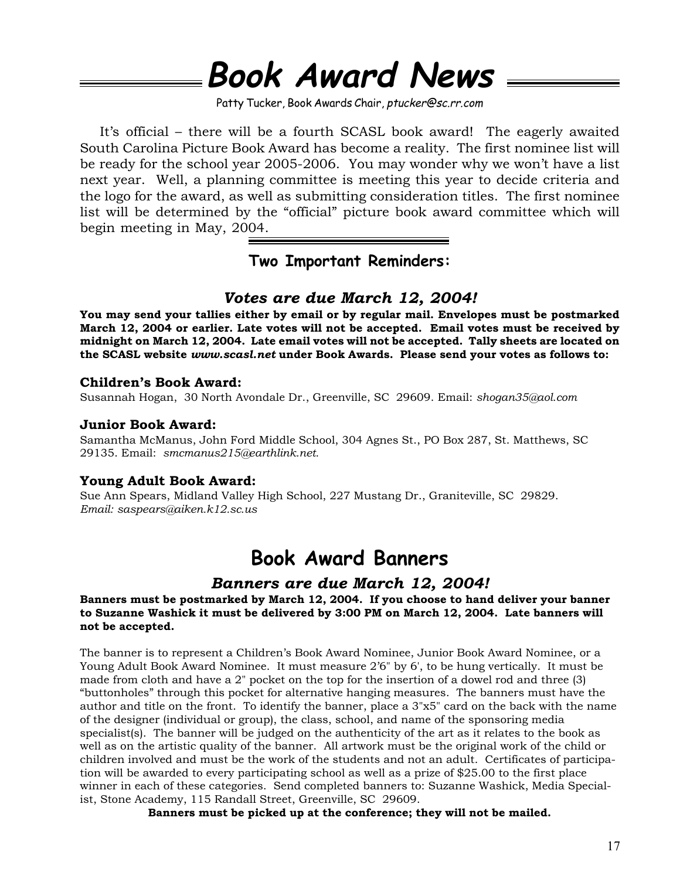# **Book Award News**

Patty Tucker, Book Awards Chair, ptucker@sc.rr.com

It's official – there will be a fourth SCASL book award! The eagerly awaited South Carolina Picture Book Award has become a reality. The first nominee list will be ready for the school year 2005-2006. You may wonder why we won't have a list next year. Well, a planning committee is meeting this year to decide criteria and the logo for the award, as well as submitting consideration titles. The first nominee list will be determined by the "official" picture book award committee which will begin meeting in May, 2004.

**Two Important Reminders:**

# *Votes are due March 12, 2004!*

**You may send your tallies either by email or by regular mail. Envelopes must be postmarked March 12, 2004 or earlier. Late votes will not be accepted. Email votes must be received by midnight on March 12, 2004. Late email votes will not be accepted. Tally sheets are located on the SCASL website** *www.scasl.net* **under Book Awards. Please send your votes as follows to:**

## **Children's Book Award:**

Susannah Hogan, 30 North Avondale Dr., Greenville, SC 29609. Email: *shogan35@aol.com*

## **Junior Book Award:**

Samantha McManus, John Ford Middle School, 304 Agnes St., PO Box 287, St. Matthews, SC 29135. Email: *smcmanus215@earthlink.net.*

## **Young Adult Book Award:**

Sue Ann Spears, Midland Valley High School, 227 Mustang Dr., Graniteville, SC 29829. *Email: saspears@aiken.k12.sc.us*

# **Book Award Banners**

## *Banners are due March 12, 2004!*

## **Banners must be postmarked by March 12, 2004. If you choose to hand deliver your banner to Suzanne Washick it must be delivered by 3:00 PM on March 12, 2004. Late banners will not be accepted.**

The banner is to represent a Children's Book Award Nominee, Junior Book Award Nominee, or a Young Adult Book Award Nominee. It must measure 2'6" by 6', to be hung vertically. It must be made from cloth and have a 2" pocket on the top for the insertion of a dowel rod and three (3) "buttonholes" through this pocket for alternative hanging measures. The banners must have the author and title on the front. To identify the banner, place a 3"x5" card on the back with the name of the designer (individual or group), the class, school, and name of the sponsoring media specialist(s). The banner will be judged on the authenticity of the art as it relates to the book as well as on the artistic quality of the banner. All artwork must be the original work of the child or children involved and must be the work of the students and not an adult. Certificates of participation will be awarded to every participating school as well as a prize of \$25.00 to the first place winner in each of these categories. Send completed banners to: Suzanne Washick, Media Specialist, Stone Academy, 115 Randall Street, Greenville, SC 29609.

**Banners must be picked up at the conference; they will not be mailed.**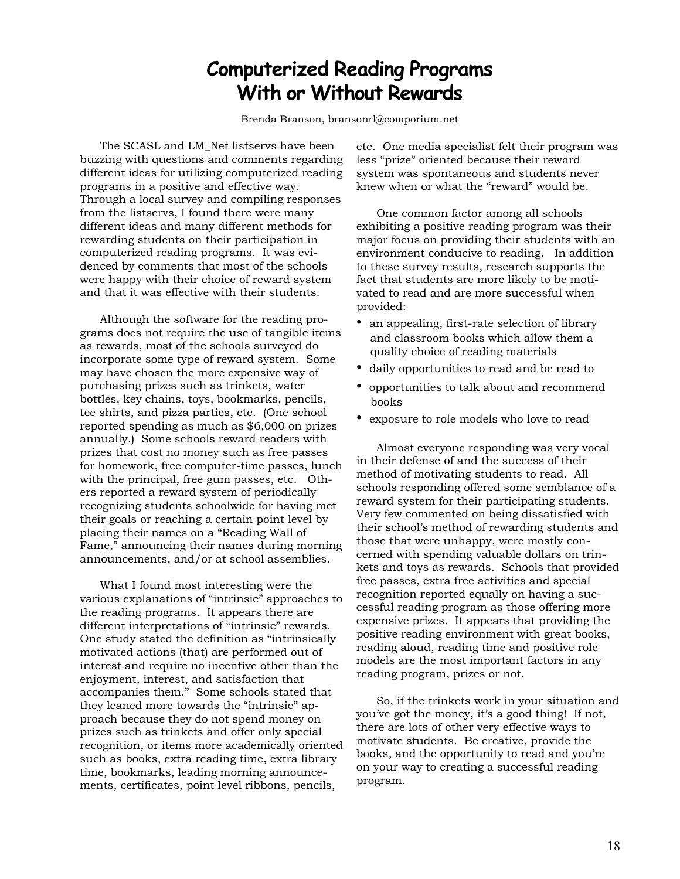# **Computerized Reading Programs With or Without Rewards**

Brenda Branson, bransonrl@comporium.net

The SCASL and LM\_Net listservs have been buzzing with questions and comments regarding different ideas for utilizing computerized reading programs in a positive and effective way. Through a local survey and compiling responses from the listservs, I found there were many different ideas and many different methods for rewarding students on their participation in computerized reading programs. It was evidenced by comments that most of the schools were happy with their choice of reward system and that it was effective with their students.

Although the software for the reading programs does not require the use of tangible items as rewards, most of the schools surveyed do incorporate some type of reward system. Some may have chosen the more expensive way of purchasing prizes such as trinkets, water bottles, key chains, toys, bookmarks, pencils, tee shirts, and pizza parties, etc. (One school reported spending as much as \$6,000 on prizes annually.) Some schools reward readers with prizes that cost no money such as free passes for homework, free computer-time passes, lunch with the principal, free gum passes, etc. Others reported a reward system of periodically recognizing students schoolwide for having met their goals or reaching a certain point level by placing their names on a "Reading Wall of Fame," announcing their names during morning announcements, and/or at school assemblies.

What I found most interesting were the various explanations of "intrinsic" approaches to the reading programs. It appears there are different interpretations of "intrinsic" rewards. One study stated the definition as "intrinsically motivated actions (that) are performed out of interest and require no incentive other than the enjoyment, interest, and satisfaction that accompanies them." Some schools stated that they leaned more towards the "intrinsic" approach because they do not spend money on prizes such as trinkets and offer only special recognition, or items more academically oriented such as books, extra reading time, extra library time, bookmarks, leading morning announcements, certificates, point level ribbons, pencils,

etc. One media specialist felt their program was less "prize" oriented because their reward system was spontaneous and students never knew when or what the "reward" would be.

One common factor among all schools exhibiting a positive reading program was their major focus on providing their students with an environment conducive to reading. In addition to these survey results, research supports the fact that students are more likely to be motivated to read and are more successful when provided:

- an appealing, first-rate selection of library and classroom books which allow them a quality choice of reading materials
- daily opportunities to read and be read to
- opportunities to talk about and recommend books
- exposure to role models who love to read

Almost everyone responding was very vocal in their defense of and the success of their method of motivating students to read. All schools responding offered some semblance of a reward system for their participating students. Very few commented on being dissatisfied with their school's method of rewarding students and those that were unhappy, were mostly concerned with spending valuable dollars on trinkets and toys as rewards. Schools that provided free passes, extra free activities and special recognition reported equally on having a successful reading program as those offering more expensive prizes. It appears that providing the positive reading environment with great books, reading aloud, reading time and positive role models are the most important factors in any reading program, prizes or not.

So, if the trinkets work in your situation and you've got the money, it's a good thing! If not, there are lots of other very effective ways to motivate students. Be creative, provide the books, and the opportunity to read and you're on your way to creating a successful reading program.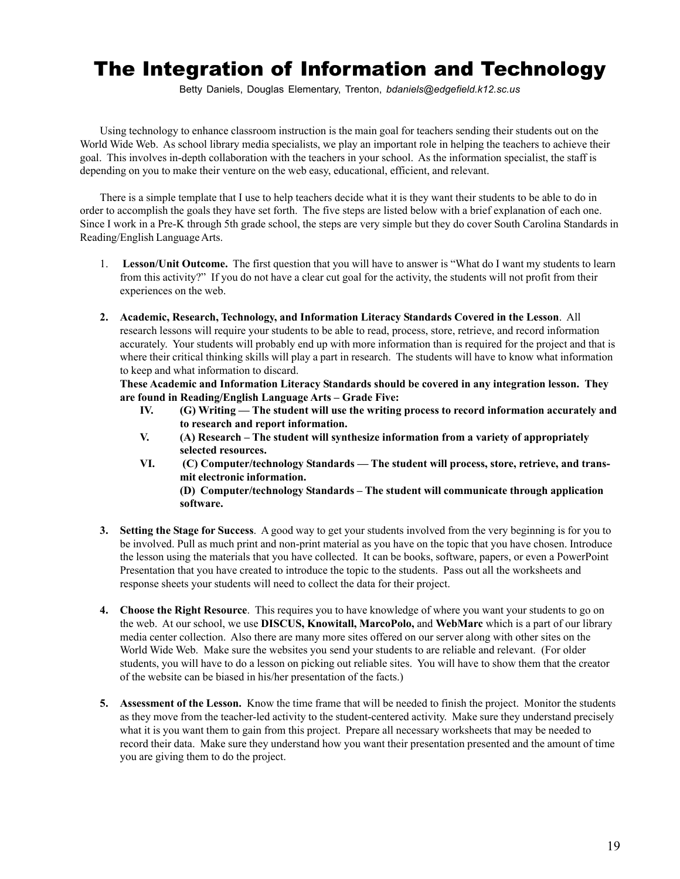# The Integration of Information and Technology

Betty Daniels, Douglas Elementary, Trenton, *bdaniels@edgefield.k12.sc.us*

Using technology to enhance classroom instruction is the main goal for teachers sending their students out on the World Wide Web. As school library media specialists, we play an important role in helping the teachers to achieve their goal. This involves in-depth collaboration with the teachers in your school. As the information specialist, the staff is depending on you to make their venture on the web easy, educational, efficient, and relevant.

There is a simple template that I use to help teachers decide what it is they want their students to be able to do in order to accomplish the goals they have set forth. The five steps are listed below with a brief explanation of each one. Since I work in a Pre-K through 5th grade school, the steps are very simple but they do cover South Carolina Standards in Reading/English Language Arts.

- 1. **Lesson/Unit Outcome.** The first question that you will have to answer is "What do I want my students to learn from this activity?" If you do not have a clear cut goal for the activity, the students will not profit from their experiences on the web.
- **2. Academic, Research, Technology, and Information Literacy Standards Covered in the Lesson**. All research lessons will require your students to be able to read, process, store, retrieve, and record information accurately. Your students will probably end up with more information than is required for the project and that is where their critical thinking skills will play a part in research. The students will have to know what information to keep and what information to discard.

**These Academic and Information Literacy Standards should be covered in any integration lesson. They are found in Reading/English Language Arts – Grade Five:**

- **IV. (G) Writing The student will use the writing process to record information accurately and to research and report information.**
- **V. (A) Research The student will synthesize information from a variety of appropriately selected resources.**
- **VI. (C) Computer/technology Standards The student will process, store, retrieve, and transmit electronic information.**

**(D) Computer/technology Standards – The student will communicate through application software.**

- **3. Setting the Stage for Success**. A good way to get your students involved from the very beginning is for you to be involved. Pull as much print and non-print material as you have on the topic that you have chosen. Introduce the lesson using the materials that you have collected. It can be books, software, papers, or even a PowerPoint Presentation that you have created to introduce the topic to the students. Pass out all the worksheets and response sheets your students will need to collect the data for their project.
- **4. Choose the Right Resource**. This requires you to have knowledge of where you want your students to go on the web. At our school, we use **DISCUS, Knowitall, MarcoPolo,** and **WebMarc** which is a part of our library media center collection. Also there are many more sites offered on our server along with other sites on the World Wide Web. Make sure the websites you send your students to are reliable and relevant. (For older students, you will have to do a lesson on picking out reliable sites. You will have to show them that the creator of the website can be biased in his/her presentation of the facts.)
- **5. Assessment of the Lesson.** Know the time frame that will be needed to finish the project. Monitor the students as they move from the teacher-led activity to the student-centered activity. Make sure they understand precisely what it is you want them to gain from this project. Prepare all necessary worksheets that may be needed to record their data. Make sure they understand how you want their presentation presented and the amount of time you are giving them to do the project.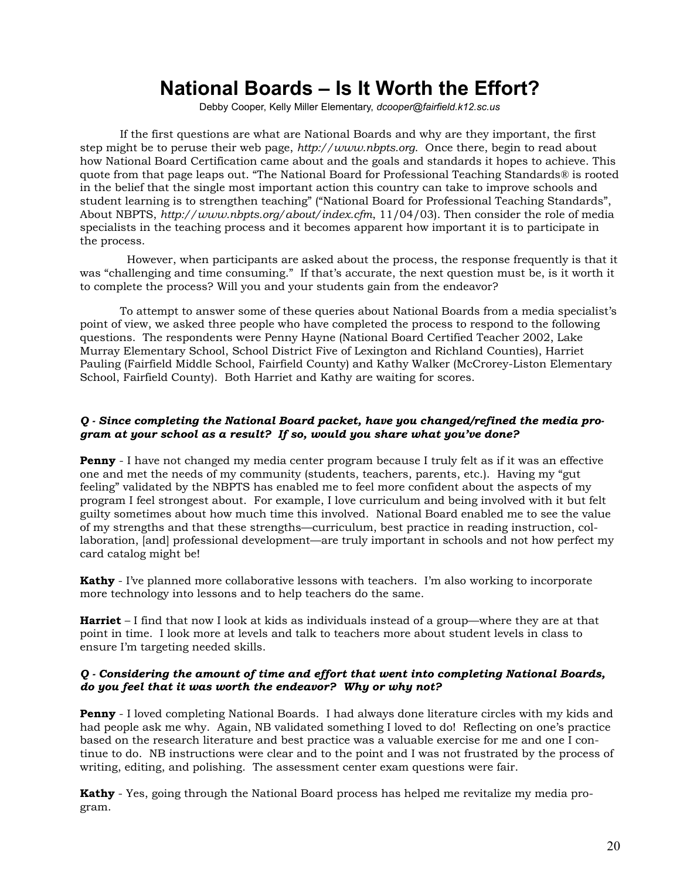# **National Boards – Is It Worth the Effort?**

Debby Cooper, Kelly Miller Elementary, *dcooper@fairfield.k12.sc.us*

If the first questions are what are National Boards and why are they important, the first step might be to peruse their web page, *http://www.nbpts.org*. Once there, begin to read about how National Board Certification came about and the goals and standards it hopes to achieve. This quote from that page leaps out. "The National Board for Professional Teaching Standards® is rooted in the belief that the single most important action this country can take to improve schools and student learning is to strengthen teaching" ("National Board for Professional Teaching Standards", About NBPTS, *http://www.nbpts.org/about/index.cfm*, 11/04/03). Then consider the role of media specialists in the teaching process and it becomes apparent how important it is to participate in the process.

 However, when participants are asked about the process, the response frequently is that it was "challenging and time consuming." If that's accurate, the next question must be, is it worth it to complete the process? Will you and your students gain from the endeavor?

To attempt to answer some of these queries about National Boards from a media specialist's point of view, we asked three people who have completed the process to respond to the following questions. The respondents were Penny Hayne (National Board Certified Teacher 2002, Lake Murray Elementary School, School District Five of Lexington and Richland Counties), Harriet Pauling (Fairfield Middle School, Fairfield County) and Kathy Walker (McCrorey-Liston Elementary School, Fairfield County). Both Harriet and Kathy are waiting for scores.

## *Q - Since completing the National Board packet, have you changed/refined the media program at your school as a result? If so, would you share what you've done?*

**Penny** - I have not changed my media center program because I truly felt as if it was an effective one and met the needs of my community (students, teachers, parents, etc.). Having my "gut feeling" validated by the NBPTS has enabled me to feel more confident about the aspects of my program I feel strongest about. For example, I love curriculum and being involved with it but felt guilty sometimes about how much time this involved. National Board enabled me to see the value of my strengths and that these strengths—curriculum, best practice in reading instruction, collaboration, [and] professional development—are truly important in schools and not how perfect my card catalog might be!

**Kathy** - I've planned more collaborative lessons with teachers. I'm also working to incorporate more technology into lessons and to help teachers do the same.

**Harriet** – I find that now I look at kids as individuals instead of a group—where they are at that point in time. I look more at levels and talk to teachers more about student levels in class to ensure I'm targeting needed skills.

### *Q - Considering the amount of time and effort that went into completing National Boards, do you feel that it was worth the endeavor? Why or why not?*

**Penny** - I loved completing National Boards. I had always done literature circles with my kids and had people ask me why. Again, NB validated something I loved to do! Reflecting on one's practice based on the research literature and best practice was a valuable exercise for me and one I continue to do. NB instructions were clear and to the point and I was not frustrated by the process of writing, editing, and polishing. The assessment center exam questions were fair.

**Kathy** - Yes, going through the National Board process has helped me revitalize my media program.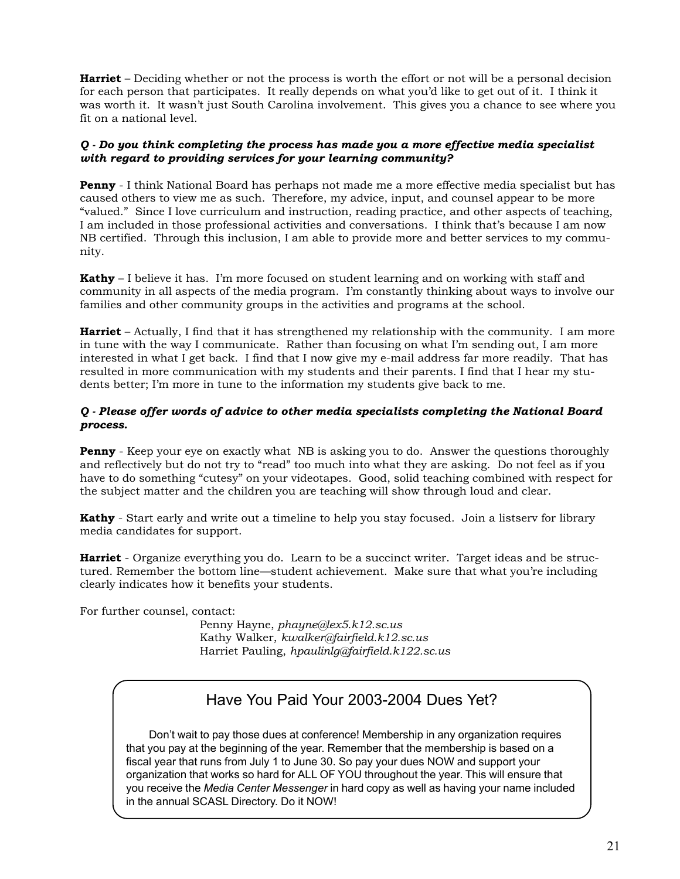**Harriet** – Deciding whether or not the process is worth the effort or not will be a personal decision for each person that participates. It really depends on what you'd like to get out of it. I think it was worth it. It wasn't just South Carolina involvement. This gives you a chance to see where you fit on a national level.

## *Q - Do you think completing the process has made you a more effective media specialist with regard to providing services for your learning community?*

**Penny** - I think National Board has perhaps not made me a more effective media specialist but has caused others to view me as such. Therefore, my advice, input, and counsel appear to be more "valued." Since I love curriculum and instruction, reading practice, and other aspects of teaching, I am included in those professional activities and conversations. I think that's because I am now NB certified. Through this inclusion, I am able to provide more and better services to my community.

**Kathy** – I believe it has. I'm more focused on student learning and on working with staff and community in all aspects of the media program. I'm constantly thinking about ways to involve our families and other community groups in the activities and programs at the school.

**Harriet** – Actually, I find that it has strengthened my relationship with the community. I am more in tune with the way I communicate. Rather than focusing on what I'm sending out, I am more interested in what I get back. I find that I now give my e-mail address far more readily. That has resulted in more communication with my students and their parents. I find that I hear my students better; I'm more in tune to the information my students give back to me.

## *Q - Please offer words of advice to other media specialists completing the National Board process.*

**Penny** - Keep your eye on exactly what NB is asking you to do. Answer the questions thoroughly and reflectively but do not try to "read" too much into what they are asking. Do not feel as if you have to do something "cutesy" on your videotapes. Good, solid teaching combined with respect for the subject matter and the children you are teaching will show through loud and clear.

**Kathy** - Start early and write out a timeline to help you stay focused. Join a listserv for library media candidates for support.

**Harriet** - Organize everything you do. Learn to be a succinct writer. Target ideas and be structured. Remember the bottom line—student achievement. Make sure that what you're including clearly indicates how it benefits your students.

For further counsel, contact:

Penny Hayne, *phayne@lex5.k12.sc.us* Kathy Walker, *kwalker@fairfield.k12.sc.us* Harriet Pauling, *hpaulinlg@fairfield.k122.sc.us*

# Have You Paid Your 2003-2004 Dues Yet?

 Don't wait to pay those dues at conference! Membership in any organization requires that you pay at the beginning of the year. Remember that the membership is based on a fiscal year that runs from July 1 to June 30. So pay your dues NOW and support your organization that works so hard for ALL OF YOU throughout the year. This will ensure that you receive the *Media Center Messenger* in hard copy as well as having your name included in the annual SCASL Directory. Do it NOW!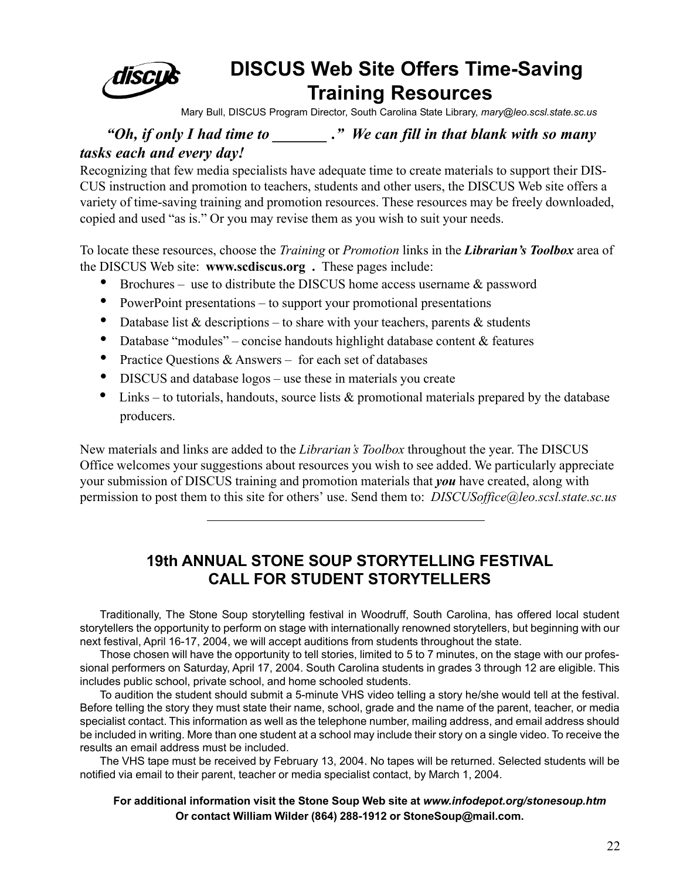

# **DISCUS Web Site Offers Time-Saving Training Resources**

Mary Bull, DISCUS Program Director, South Carolina State Library, *mary@leo.scsl.state.sc.us*

## *"Oh, if only I had time to \_\_\_\_\_\_\_ ." We can fill in that blank with so many tasks each and every day!*

Recognizing that few media specialists have adequate time to create materials to support their DIS-CUS instruction and promotion to teachers, students and other users, the DISCUS Web site offers a variety of time-saving training and promotion resources. These resources may be freely downloaded, copied and used "as is." Or you may revise them as you wish to suit your needs.

To locate these resources, choose the *Training* or *Promotion* links in the *Librarian's Toolbox* area of the DISCUS Web site: **www.scdiscus.org .** These pages include:

- Brochures use to distribute the DISCUS home access username & password
- PowerPoint presentations to support your promotional presentations
- Database list  $&$  descriptions to share with your teachers, parents  $&$  students
- Database "modules" concise handouts highlight database content  $&$  features
- Practice Questions & Answers for each set of databases
- DISCUS and database logos use these in materials you create
- Links to tutorials, handouts, source lists  $\&$  promotional materials prepared by the database producers.

New materials and links are added to the *Librarian's Toolbox* throughout the year. The DISCUS Office welcomes your suggestions about resources you wish to see added. We particularly appreciate your submission of DISCUS training and promotion materials that *you* have created, along with permission to post them to this site for others' use. Send them to: *DISCUSoffice@leo.scsl.state.sc.us*

# **19th ANNUAL STONE SOUP STORYTELLING FESTIVAL CALL FOR STUDENT STORYTELLERS**

Traditionally, The Stone Soup storytelling festival in Woodruff, South Carolina, has offered local student storytellers the opportunity to perform on stage with internationally renowned storytellers, but beginning with our next festival, April 16-17, 2004, we will accept auditions from students throughout the state.

Those chosen will have the opportunity to tell stories, limited to 5 to 7 minutes, on the stage with our professional performers on Saturday, April 17, 2004. South Carolina students in grades 3 through 12 are eligible. This includes public school, private school, and home schooled students.

To audition the student should submit a 5-minute VHS video telling a story he/she would tell at the festival. Before telling the story they must state their name, school, grade and the name of the parent, teacher, or media specialist contact. This information as well as the telephone number, mailing address, and email address should be included in writing. More than one student at a school may include their story on a single video. To receive the results an email address must be included.

The VHS tape must be received by February 13, 2004. No tapes will be returned. Selected students will be notified via email to their parent, teacher or media specialist contact, by March 1, 2004.

## **For additional information visit the Stone Soup Web site at** *www.infodepot.org/stonesoup.htm* **Or contact William Wilder (864) 288-1912 or StoneSoup@mail.com.**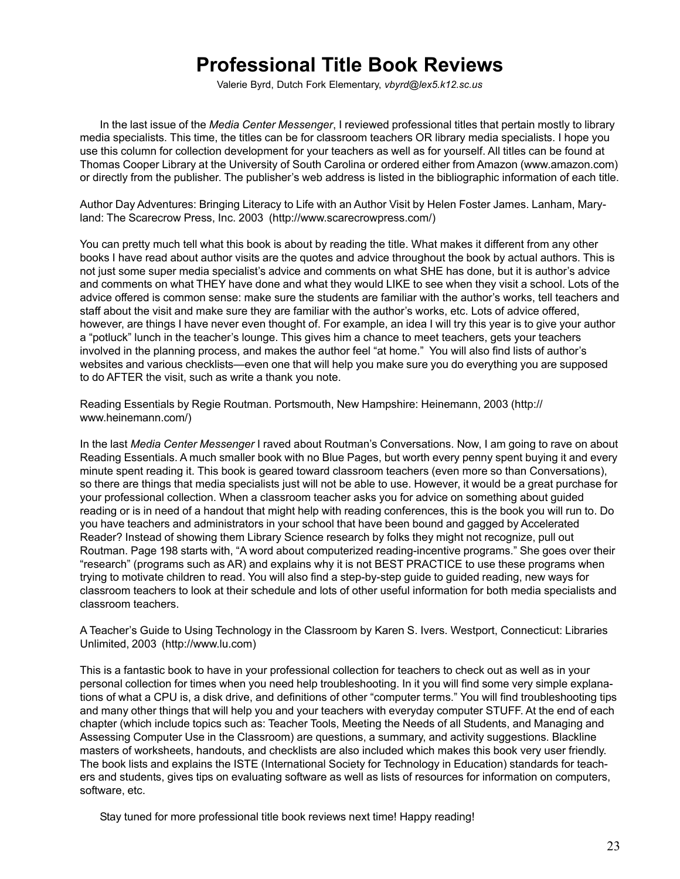# **Professional Title Book Reviews**

Valerie Byrd, Dutch Fork Elementary, *vbyrd@lex5.k12.sc.us*

In the last issue of the *Media Center Messenger*, I reviewed professional titles that pertain mostly to library media specialists. This time, the titles can be for classroom teachers OR library media specialists. I hope you use this column for collection development for your teachers as well as for yourself. All titles can be found at Thomas Cooper Library at the University of South Carolina or ordered either from Amazon (www.amazon.com) or directly from the publisher. The publisher's web address is listed in the bibliographic information of each title.

Author Day Adventures: Bringing Literacy to Life with an Author Visit by Helen Foster James. Lanham, Maryland: The Scarecrow Press, Inc. 2003 (http://www.scarecrowpress.com/)

You can pretty much tell what this book is about by reading the title. What makes it different from any other books I have read about author visits are the quotes and advice throughout the book by actual authors. This is not just some super media specialist's advice and comments on what SHE has done, but it is author's advice and comments on what THEY have done and what they would LIKE to see when they visit a school. Lots of the advice offered is common sense: make sure the students are familiar with the author's works, tell teachers and staff about the visit and make sure they are familiar with the author's works, etc. Lots of advice offered, however, are things I have never even thought of. For example, an idea I will try this year is to give your author a "potluck" lunch in the teacher's lounge. This gives him a chance to meet teachers, gets your teachers involved in the planning process, and makes the author feel "at home." You will also find lists of author's websites and various checklists—even one that will help you make sure you do everything you are supposed to do AFTER the visit, such as write a thank you note.

Reading Essentials by Regie Routman. Portsmouth, New Hampshire: Heinemann, 2003 (http:// www.heinemann.com/)

In the last *Media Center Messenger* I raved about Routman's Conversations. Now, I am going to rave on about Reading Essentials. A much smaller book with no Blue Pages, but worth every penny spent buying it and every minute spent reading it. This book is geared toward classroom teachers (even more so than Conversations), so there are things that media specialists just will not be able to use. However, it would be a great purchase for your professional collection. When a classroom teacher asks you for advice on something about guided reading or is in need of a handout that might help with reading conferences, this is the book you will run to. Do you have teachers and administrators in your school that have been bound and gagged by Accelerated Reader? Instead of showing them Library Science research by folks they might not recognize, pull out Routman. Page 198 starts with, "A word about computerized reading-incentive programs." She goes over their "research" (programs such as AR) and explains why it is not BEST PRACTICE to use these programs when trying to motivate children to read. You will also find a step-by-step guide to guided reading, new ways for classroom teachers to look at their schedule and lots of other useful information for both media specialists and classroom teachers.

A Teacher's Guide to Using Technology in the Classroom by Karen S. Ivers. Westport, Connecticut: Libraries Unlimited, 2003 (http://www.lu.com)

This is a fantastic book to have in your professional collection for teachers to check out as well as in your personal collection for times when you need help troubleshooting. In it you will find some very simple explanations of what a CPU is, a disk drive, and definitions of other "computer terms." You will find troubleshooting tips and many other things that will help you and your teachers with everyday computer STUFF. At the end of each chapter (which include topics such as: Teacher Tools, Meeting the Needs of all Students, and Managing and Assessing Computer Use in the Classroom) are questions, a summary, and activity suggestions. Blackline masters of worksheets, handouts, and checklists are also included which makes this book very user friendly. The book lists and explains the ISTE (International Society for Technology in Education) standards for teachers and students, gives tips on evaluating software as well as lists of resources for information on computers, software, etc.

Stay tuned for more professional title book reviews next time! Happy reading!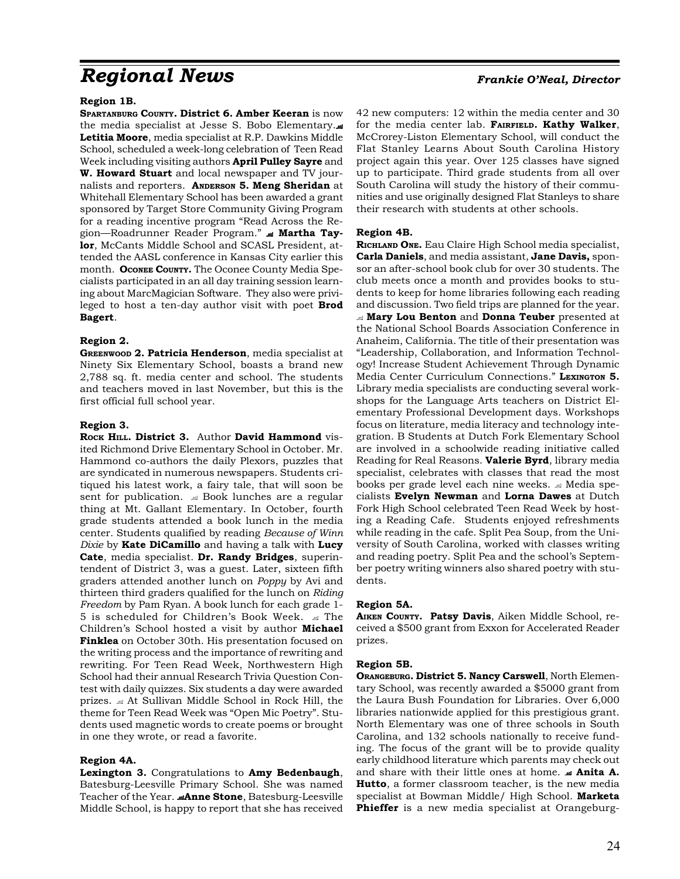# *Regional News Frankie O'Neal, Director*

#### **Region 1B.**

**SPARTANBURG COUNTY. District 6. Amber Keeran** is now the media specialist at Jesse S. Bobo Elementary. **Letitia Moore**, media specialist at R.P. Dawkins Middle School, scheduled a week-long celebration of Teen Read Week including visiting authors **April Pulley Sayre** and **W. Howard Stuart** and local newspaper and TV journalists and reporters. **ANDERSON 5. Meng Sheridan** at Whitehall Elementary School has been awarded a grant sponsored by Target Store Community Giving Program for a reading incentive program "Read Across the Region—Roadrunner Reader Program."  **Martha Taylor**, McCants Middle School and SCASL President, attended the AASL conference in Kansas City earlier this month. **OCONEE COUNTY.** The Oconee County Media Specialists participated in an all day training session learning about MarcMagician Software. They also were privileged to host a ten-day author visit with poet **Brod Bagert**.

#### **Region 2.**

**GREENWOOD 2. Patricia Henderson**, media specialist at Ninety Six Elementary School, boasts a brand new 2,788 sq. ft. media center and school. The students and teachers moved in last November, but this is the first official full school year.

#### **Region 3.**

**ROCK HILL. District 3.** Author **David Hammond** visited Richmond Drive Elementary School in October. Mr. Hammond co-authors the daily Plexors, puzzles that are syndicated in numerous newspapers. Students critiqued his latest work, a fairy tale, that will soon be sent for publication.  $\triangleq$  Book lunches are a regular thing at Mt. Gallant Elementary. In October, fourth grade students attended a book lunch in the media center. Students qualified by reading *Because of Winn Dixie* by **Kate DiCamillo** and having a talk with **Lucy Cate**, media specialist. **Dr. Randy Bridges**, superintendent of District 3, was a guest. Later, sixteen fifth graders attended another lunch on *Poppy* by Avi and thirteen third graders qualified for the lunch on *Riding Freedom* by Pam Ryan. A book lunch for each grade 1- 5 is scheduled for Children's Book Week.  $\equiv$  The Children's School hosted a visit by author **Michael Finklea** on October 30th. His presentation focused on the writing process and the importance of rewriting and rewriting. For Teen Read Week, Northwestern High School had their annual Research Trivia Question Contest with daily quizzes. Six students a day were awarded prizes. At Sullivan Middle School in Rock Hill, the theme for Teen Read Week was "Open Mic Poetry". Students used magnetic words to create poems or brought in one they wrote, or read a favorite.

#### **Region 4A.**

**Lexington 3.** Congratulations to **Amy Bedenbaugh**, Batesburg-Leesville Primary School. She was named Teacher of the Year. **Anne Stone**, Batesburg-Leesville Middle School, is happy to report that she has received

42 new computers: 12 within the media center and 30 for the media center lab. **FAIRFIELD. Kathy Walker**, McCrorey-Liston Elementary School, will conduct the Flat Stanley Learns About South Carolina History project again this year. Over 125 classes have signed up to participate. Third grade students from all over South Carolina will study the history of their communities and use originally designed Flat Stanleys to share their research with students at other schools.

#### **Region 4B.**

**RICHLAND ONE.** Eau Claire High School media specialist, **Carla Daniels**, and media assistant, **Jane Davis,** sponsor an after-school book club for over 30 students. The club meets once a month and provides books to students to keep for home libraries following each reading and discussion. Two field trips are planned for the year. **Mary Lou Benton** and **Donna Teuber** presented at the National School Boards Association Conference in Anaheim, California. The title of their presentation was "Leadership, Collaboration, and Information Technology! Increase Student Achievement Through Dynamic Media Center Curriculum Connections." **LEXINGTON 5.** Library media specialists are conducting several workshops for the Language Arts teachers on District Elementary Professional Development days. Workshops focus on literature, media literacy and technology integration. B Students at Dutch Fork Elementary School are involved in a schoolwide reading initiative called Reading for Real Reasons. **Valerie Byrd**, library media specialist, celebrates with classes that read the most books per grade level each nine weeks.  $\triangleleft$  Media specialists **Evelyn Newman** and **Lorna Dawes** at Dutch Fork High School celebrated Teen Read Week by hosting a Reading Cafe. Students enjoyed refreshments while reading in the cafe. Split Pea Soup, from the University of South Carolina, worked with classes writing and reading poetry. Split Pea and the school's September poetry writing winners also shared poetry with students.

#### **Region 5A.**

**AIKEN COUNTY. Patsy Davis**, Aiken Middle School, received a \$500 grant from Exxon for Accelerated Reader prizes.

#### **Region 5B.**

**ORANGEBURG. District 5. Nancy Carswell**, North Elementary School, was recently awarded a \$5000 grant from the Laura Bush Foundation for Libraries. Over 6,000 libraries nationwide applied for this prestigious grant. North Elementary was one of three schools in South Carolina, and 132 schools nationally to receive funding. The focus of the grant will be to provide quality early childhood literature which parents may check out and share with their little ones at home.  **Anita A. Hutto**, a former classroom teacher, is the new media specialist at Bowman Middle/ High School. **Marketa Phieffer** is a new media specialist at Orangeburg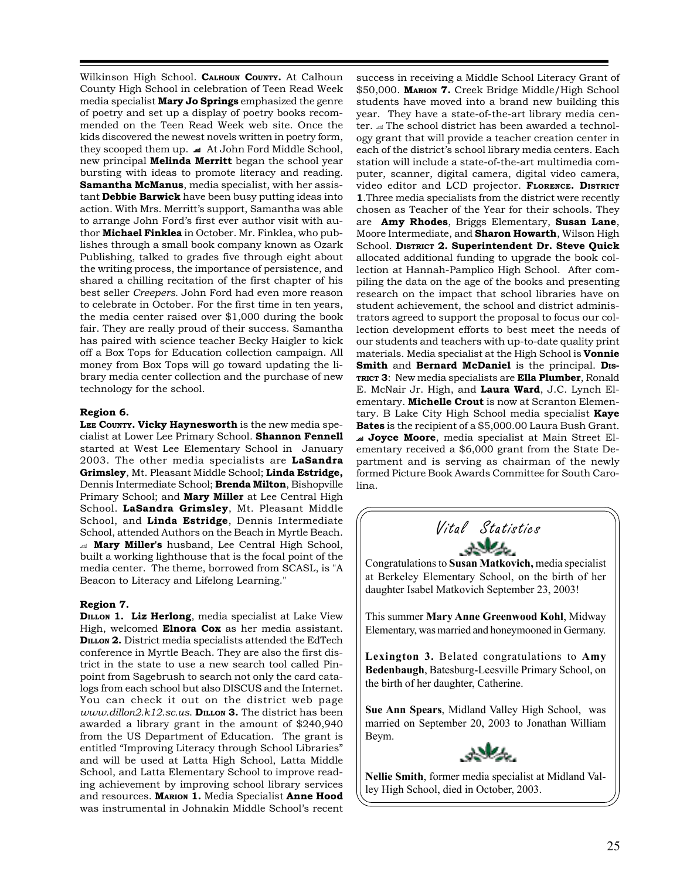Wilkinson High School. **CALHOUN COUNTY.** At Calhoun County High School in celebration of Teen Read Week media specialist **Mary Jo Springs** emphasized the genre of poetry and set up a display of poetry books recommended on the Teen Read Week web site. Once the kids discovered the newest novels written in poetry form, they scooped them up. At John Ford Middle School, new principal **Melinda Merritt** began the school year bursting with ideas to promote literacy and reading. **Samantha McManus**, media specialist, with her assistant **Debbie Barwick** have been busy putting ideas into action. With Mrs. Merritt's support, Samantha was able to arrange John Ford's first ever author visit with author **Michael Finklea** in October. Mr. Finklea, who publishes through a small book company known as Ozark Publishing, talked to grades five through eight about the writing process, the importance of persistence, and shared a chilling recitation of the first chapter of his best seller *Creepers*. John Ford had even more reason to celebrate in October. For the first time in ten years, the media center raised over \$1,000 during the book fair. They are really proud of their success. Samantha has paired with science teacher Becky Haigler to kick off a Box Tops for Education collection campaign. All money from Box Tops will go toward updating the library media center collection and the purchase of new technology for the school.

#### **Region 6.**

**LEE COUNTY. Vicky Haynesworth** is the new media specialist at Lower Lee Primary School. **Shannon Fennell** started at West Lee Elementary School in January 2003. The other media specialists are **LaSandra Grimsley**, Mt. Pleasant Middle School; **Linda Estridge,** Dennis Intermediate School; **Brenda Milton**, Bishopville Primary School; and **Mary Miller** at Lee Central High School. **LaSandra Grimsley**, Mt. Pleasant Middle School, and **Linda Estridge**, Dennis Intermediate School, attended Authors on the Beach in Myrtle Beach. **Mary Miller's** husband, Lee Central High School, built a working lighthouse that is the focal point of the media center. The theme, borrowed from SCASL, is "A Beacon to Literacy and Lifelong Learning."

#### **Region 7.**

**DILLON 1. Liz Herlong**, media specialist at Lake View High, welcomed **Elnora Cox** as her media assistant. **DILLON 2.** District media specialists attended the EdTech conference in Myrtle Beach. They are also the first district in the state to use a new search tool called Pinpoint from Sagebrush to search not only the card catalogs from each school but also DISCUS and the Internet. You can check it out on the district web page *www.dillon2.k12.sc.us*. **DILLON 3.** The district has been awarded a library grant in the amount of \$240,940 from the US Department of Education. The grant is entitled "Improving Literacy through School Libraries" and will be used at Latta High School, Latta Middle School, and Latta Elementary School to improve reading achievement by improving school library services and resources. **MARION 1.** Media Specialist **Anne Hood** was instrumental in Johnakin Middle School's recent

success in receiving a Middle School Literacy Grant of \$50,000. **MARION 7.** Creek Bridge Middle/High School students have moved into a brand new building this year. They have a state-of-the-art library media center.  $\triangleleft$  The school district has been awarded a technology grant that will provide a teacher creation center in each of the district's school library media centers. Each station will include a state-of-the-art multimedia computer, scanner, digital camera, digital video camera, video editor and LCD projector. **FLORENCE. DISTRICT 1**.Three media specialists from the district were recently chosen as Teacher of the Year for their schools. They are **Amy Rhodes**, Briggs Elementary, **Susan Lane**, Moore Intermediate, and **Sharon Howarth**, Wilson High School. **DISTRICT 2. Superintendent Dr. Steve Quick** allocated additional funding to upgrade the book collection at Hannah-Pamplico High School. After compiling the data on the age of the books and presenting research on the impact that school libraries have on student achievement, the school and district administrators agreed to support the proposal to focus our collection development efforts to best meet the needs of our students and teachers with up-to-date quality print materials. Media specialist at the High School is **Vonnie** Smith and Bernard McDaniel is the principal. Dis-**TRICT 3**: New media specialists are **Ella Plumber**, Ronald E. McNair Jr. High, and **Laura Ward**, J.C. Lynch Elementary. **Michelle Crout** is now at Scranton Elementary. B Lake City High School media specialist **Kaye Bates** is the recipient of a \$5,000.00 Laura Bush Grant.  **Joyce Moore**, media specialist at Main Street Elementary received a \$6,000 grant from the State Department and is serving as chairman of the newly formed Picture Book Awards Committee for South Carolina.



Congratulations to **Susan Matkovich,** media specialist at Berkeley Elementary School, on the birth of her daughter Isabel Matkovich September 23, 2003!

This summer **Mary Anne Greenwood Kohl**, Midway Elementary, was married and honeymooned in Germany.

**Lexington 3.** Belated congratulations to **Amy Bedenbaugh**, Batesburg-Leesville Primary School, on the birth of her daughter, Catherine.

**Sue Ann Spears**, Midland Valley High School, was married on September 20, 2003 to Jonathan William Beym.



**Nellie Smith**, former media specialist at Midland Valley High School, died in October, 2003.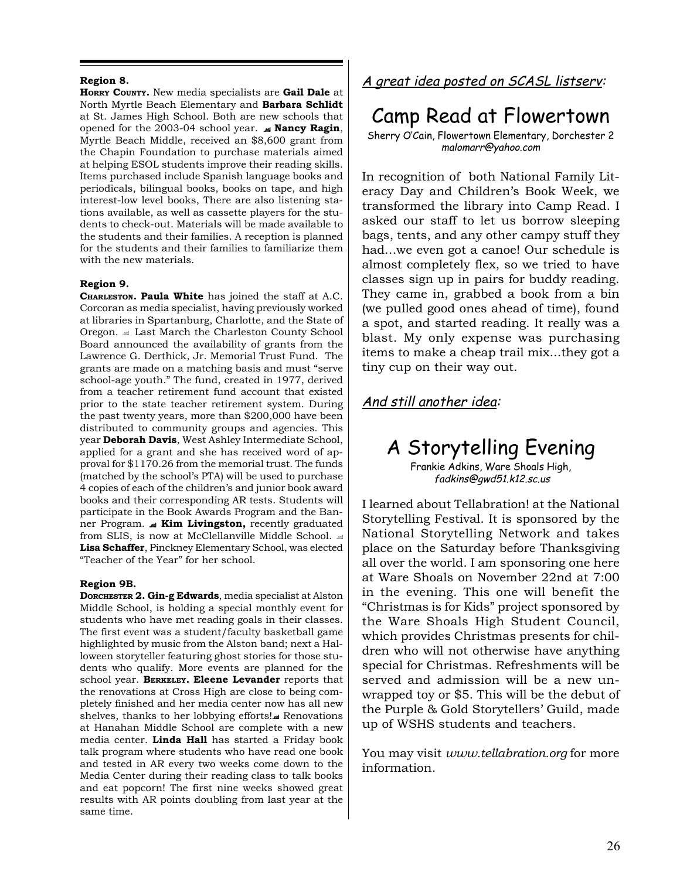### **Region 8.**

**HORRY COUNTY.** New media specialists are **Gail Dale** at North Myrtle Beach Elementary and **Barbara Schlidt** at St. James High School. Both are new schools that opened for the 2003-04 school year.  **Nancy Ragin**, Myrtle Beach Middle, received an \$8,600 grant from the Chapin Foundation to purchase materials aimed at helping ESOL students improve their reading skills. Items purchased include Spanish language books and periodicals, bilingual books, books on tape, and high interest-low level books, There are also listening stations available, as well as cassette players for the students to check-out. Materials will be made available to the students and their families. A reception is planned for the students and their families to familiarize them with the new materials.

#### **Region 9.**

**CHARLESTON. Paula White** has joined the staff at A.C. Corcoran as media specialist, having previously worked at libraries in Spartanburg, Charlotte, and the State of Oregon.  $\triangleq$  Last March the Charleston County School Board announced the availability of grants from the Lawrence G. Derthick, Jr. Memorial Trust Fund. The grants are made on a matching basis and must "serve school-age youth." The fund, created in 1977, derived from a teacher retirement fund account that existed prior to the state teacher retirement system. During the past twenty years, more than \$200,000 have been distributed to community groups and agencies. This year **Deborah Davis**, West Ashley Intermediate School, applied for a grant and she has received word of approval for \$1170.26 from the memorial trust. The funds (matched by the school's PTA) will be used to purchase 4 copies of each of the children's and junior book award books and their corresponding AR tests. Students will participate in the Book Awards Program and the Banner Program.  **Kim Livingston,** recently graduated from SLIS, is now at McClellanville Middle School. **Lisa Schaffer**, Pinckney Elementary School, was elected "Teacher of the Year" for her school.

#### **Region 9B.**

**DORCHESTER 2. Gin-g Edwards**, media specialist at Alston Middle School, is holding a special monthly event for students who have met reading goals in their classes. The first event was a student/faculty basketball game highlighted by music from the Alston band; next a Halloween storyteller featuring ghost stories for those students who qualify. More events are planned for the school year. **BERKELEY. Eleene Levander** reports that the renovations at Cross High are close to being completely finished and her media center now has all new shelves, thanks to her lobbying efforts!. Renovations at Hanahan Middle School are complete with a new media center. **Linda Hall** has started a Friday book talk program where students who have read one book and tested in AR every two weeks come down to the Media Center during their reading class to talk books and eat popcorn! The first nine weeks showed great results with AR points doubling from last year at the same time.

A great idea posted on SCASL listserv:

# Camp Read at Flowertown

Sherry O'Cain, Flowertown Elementary, Dorchester 2 malomarr@yahoo.com

In recognition of both National Family Literacy Day and Children's Book Week, we transformed the library into Camp Read. I asked our staff to let us borrow sleeping bags, tents, and any other campy stuff they had...we even got a canoe! Our schedule is almost completely flex, so we tried to have classes sign up in pairs for buddy reading. They came in, grabbed a book from a bin (we pulled good ones ahead of time), found a spot, and started reading. It really was a blast. My only expense was purchasing items to make a cheap trail mix...they got a tiny cup on their way out.

## And still another idea:

# A Storytelling Evening

Frankie Adkins, Ware Shoals High, fadkins@gwd51.k12.sc.us

I learned about Tellabration! at the National Storytelling Festival. It is sponsored by the National Storytelling Network and takes place on the Saturday before Thanksgiving all over the world. I am sponsoring one here at Ware Shoals on November 22nd at 7:00 in the evening. This one will benefit the "Christmas is for Kids" project sponsored by the Ware Shoals High Student Council, which provides Christmas presents for children who will not otherwise have anything special for Christmas. Refreshments will be served and admission will be a new unwrapped toy or \$5. This will be the debut of the Purple & Gold Storytellers' Guild, made up of WSHS students and teachers.

You may visit *www.tellabration.org* for more information.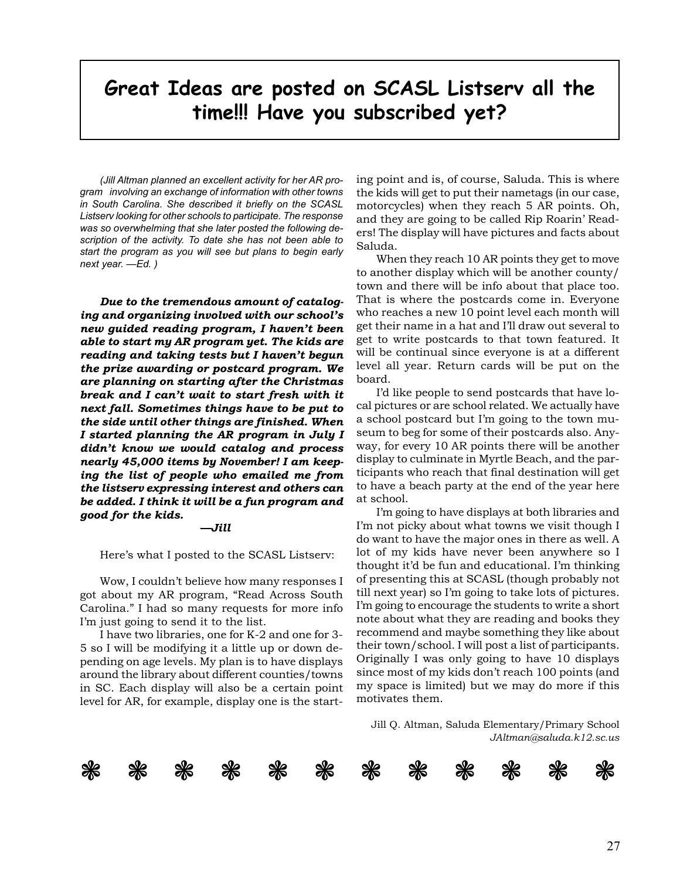# **Great Ideas are posted on SCASL Listserv all the time!!! Have you subscribed yet?**

*(Jill Altman planned an excellent activity for her AR program involving an exchange of information with other towns in South Carolina. She described it briefly on the SCASL Listserv looking for other schools to participate. The response was so overwhelming that she later posted the following description of the activity. To date she has not been able to start the program as you will see but plans to begin early next year. —Ed. )*

*Due to the tremendous amount of cataloging and organizing involved with our school's new guided reading program, I haven't been able to start my AR program yet. The kids are reading and taking tests but I haven't begun the prize awarding or postcard program. We are planning on starting after the Christmas break and I can't wait to start fresh with it next fall. Sometimes things have to be put to the side until other things are finished. When I started planning the AR program in July I didn't know we would catalog and process nearly 45,000 items by November! I am keeping the list of people who emailed me from the listserv expressing interest and others can be added. I think it will be a fun program and good for the kids.*

#### *—Jill*

Here's what I posted to the SCASL Listserv:

Wow, I couldn't believe how many responses I got about my AR program, "Read Across South Carolina." I had so many requests for more info I'm just going to send it to the list.

I have two libraries, one for K-2 and one for 3- 5 so I will be modifying it a little up or down depending on age levels. My plan is to have displays around the library about different counties/towns in SC. Each display will also be a certain point level for AR, for example, display one is the starting point and is, of course, Saluda. This is where the kids will get to put their nametags (in our case, motorcycles) when they reach 5 AR points. Oh, and they are going to be called Rip Roarin' Readers! The display will have pictures and facts about Saluda.

When they reach 10 AR points they get to move to another display which will be another county/ town and there will be info about that place too. That is where the postcards come in. Everyone who reaches a new 10 point level each month will get their name in a hat and I'll draw out several to get to write postcards to that town featured. It will be continual since everyone is at a different level all year. Return cards will be put on the board.

I'd like people to send postcards that have local pictures or are school related. We actually have a school postcard but I'm going to the town museum to beg for some of their postcards also. Anyway, for every 10 AR points there will be another display to culminate in Myrtle Beach, and the participants who reach that final destination will get to have a beach party at the end of the year here at school.

I'm going to have displays at both libraries and I'm not picky about what towns we visit though I do want to have the major ones in there as well. A lot of my kids have never been anywhere so I thought it'd be fun and educational. I'm thinking of presenting this at SCASL (though probably not till next year) so I'm going to take lots of pictures. I'm going to encourage the students to write a short note about what they are reading and books they recommend and maybe something they like about their town/school. I will post a list of participants. Originally I was only going to have 10 displays since most of my kids don't reach 100 points (and my space is limited) but we may do more if this motivates them.

Jill Q. Altman, Saluda Elementary/Primary School *JAltman@saluda.k12.sc.us*